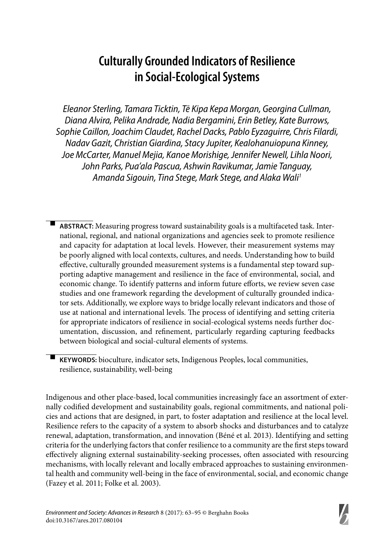# **Culturally Grounded Indicators of Resilience in Social-Ecological Systems**

Eleanor Sterling, Tamara Ticktin, Tē Kipa Kepa Morgan, Georgina Cullman, Diana Alvira, Pelika Andrade, Nadia Bergamini, Erin Betley, Kate Burrows, Sophie Caillon, Joachim Claudet, Rachel Dacks, Pablo Eyzaguirre, Chris Filardi, Nadav Gazit, Christian Giardina, Stacy Jupiter, Kealohanuiopuna Kinney, Joe McCarter, Manuel Mejia, Kanoe Morishige, Jennifer Newell, Lihla Noori, John Parks, Pua'ala Pascua, Ashwin Ravikumar, Jamie Tanguay, Amanda Sigouin, Tina Stege, Mark Stege, and Alaka Wali<sup>1</sup>

- **ABSTRACT:** Measuring progress toward sustainability goals is a multifaceted task. International, regional, and national organizations and agencies seek to promote resilience and capacity for adaptation at local levels. However, their measurement systems may be poorly aligned with local contexts, cultures, and needs. Understanding how to build efective, culturally grounded measurement systems is a fundamental step toward supporting adaptive management and resilience in the face of environmental, social, and economic change. To identify patterns and inform future eforts, we review seven case studies and one framework regarding the development of culturally grounded indicator sets. Additionally, we explore ways to bridge locally relevant indicators and those of use at national and international levels. The process of identifying and setting criteria for appropriate indicators of resilience in social-ecological systems needs further documentation, discussion, and refnement, particularly regarding capturing feedbacks between biological and social-cultural elements of systems.

 **KEYWORDS:** bioculture, indicator sets, Indigenous Peoples, local communities, resilience, sustainability, well-being

Indigenous and other place-based, local communities increasingly face an assortment of externally codifed development and sustainability goals, regional commitments, and national policies and actions that are designed, in part, to foster adaptation and resilience at the local level. Resilience refers to the capacity of a system to absorb shocks and disturbances and to catalyze renewal, adaptation, transformation, and innovation (Béné et al. 2013). Identifying and setting criteria for the underlying factors that confer resilience to a community are the frst steps toward efectively aligning external sustainability-seeking processes, ofen associated with resourcing mechanisms, with locally relevant and locally embraced approaches to sustaining environmental health and community well-being in the face of environmental, social, and economic change (Fazey et al. 2011; Folke et al. 2003).

-

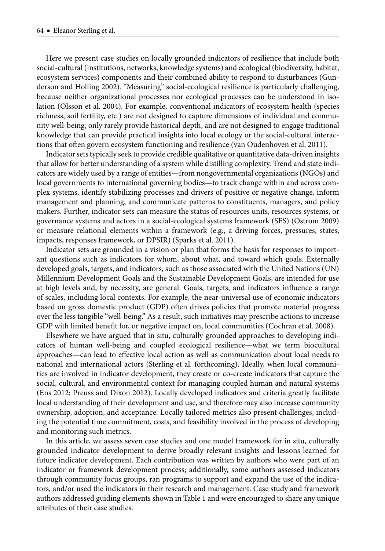Here we present case studies on locally grounded indicators of resilience that include both social-cultural (institutions, networks, knowledge systems) and ecological (biodiversity, habitat, ecosystem services) components and their combined ability to respond to disturbances (Gunderson and Holling 2002). "Measuring" social-ecological resilience is particularly challenging, because neither organizational processes nor ecological processes can be understood in isolation (Olsson et al. 2004). For example, conventional indicators of ecosystem health (species richness, soil fertility, etc.) are not designed to capture dimensions of individual and community well-being, only rarely provide historical depth, and are not designed to engage traditional knowledge that can provide practical insights into local ecology or the social-cultural interactions that ofen govern ecosystem functioning and resilience (van Oudenhoven et al. 2011).

Indicator sets typically seek to provide credible qualitative or quantitative data-driven insights that allow for better understanding of a system while distilling complexity. Trend and state indicators are widely used by a range of entities—from nongovernmental organizations (NGOs) and local governments to international governing bodies—to track change within and across complex systems, identify stabilizing processes and drivers of positive or negative change, inform management and planning, and communicate patterns to constituents, managers, and policy makers. Further, indicator sets can measure the status of resources units, resources systems, or governance systems and actors in a social-ecological systems framework (SES) (Ostrom 2009) or measure relational elements within a framework (e.g., a driving forces, pressures, states, impacts, responses framework, or DPSIR) (Sparks et al. 2011).

Indicator sets are grounded in a vision or plan that forms the basis for responses to important questions such as indicators for whom, about what, and toward which goals. Externally developed goals, targets, and indicators, such as those associated with the United Nations (UN) Millennium Development Goals and the Sustainable Development Goals, are intended for use at high levels and, by necessity, are general. Goals, targets, and indicators infuence a range of scales, including local contexts. For example, the near-universal use of economic indicators based on gross domestic product (GDP) ofen drives policies that promote material progress over the less tangible "well-being." As a result, such initiatives may prescribe actions to increase GDP with limited beneft for, or negative impact on, local communities (Cochran et al. 2008).

Elsewhere we have argued that in situ, culturally grounded approaches to developing indicators of human well-being and coupled ecological resilience—what we term biocultural approaches—can lead to efective local action as well as communication about local needs to national and international actors (Sterling et al. forthcoming). Ideally, when local communities are involved in indicator development, they create or co-create indicators that capture the social, cultural, and environmental context for managing coupled human and natural systems (Ens 2012; Preuss and Dixon 2012). Locally developed indicators and criteria greatly facilitate local understanding of their development and use, and therefore may also increase community ownership, adoption, and acceptance. Locally tailored metrics also present challenges, including the potential time commitment, costs, and feasibility involved in the process of developing and monitoring such metrics.

In this article, we assess seven case studies and one model framework for in situ, culturally grounded indicator development to derive broadly relevant insights and lessons learned for future indicator development. Each contribution was written by authors who were part of an indicator or framework development process; additionally, some authors assessed indicators through community focus groups, ran programs to support and expand the use of the indicators, and/or used the indicators in their research and management. Case study and framework authors addressed guiding elements shown in Table 1 and were encouraged to share any unique attributes of their case studies.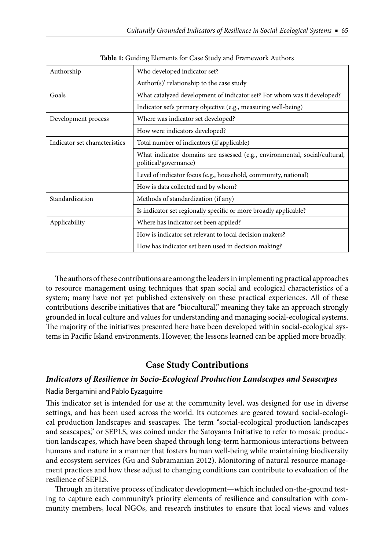| Authorship                    | Who developed indicator set?                                                                        |  |  |  |
|-------------------------------|-----------------------------------------------------------------------------------------------------|--|--|--|
|                               | $Author(s)'$ relationship to the case study                                                         |  |  |  |
| Goals                         | What catalyzed development of indicator set? For whom was it developed?                             |  |  |  |
|                               | Indicator set's primary objective (e.g., measuring well-being)                                      |  |  |  |
| Development process           | Where was indicator set developed?                                                                  |  |  |  |
|                               | How were indicators developed?                                                                      |  |  |  |
| Indicator set characteristics | Total number of indicators (if applicable)                                                          |  |  |  |
|                               | What indicator domains are assessed (e.g., environmental, social/cultural,<br>political/governance) |  |  |  |
|                               | Level of indicator focus (e.g., household, community, national)                                     |  |  |  |
|                               | How is data collected and by whom?                                                                  |  |  |  |
| Standardization               | Methods of standardization (if any)                                                                 |  |  |  |
|                               | Is indicator set regionally specific or more broadly applicable?                                    |  |  |  |
| Applicability                 | Where has indicator set been applied?                                                               |  |  |  |
|                               | How is indicator set relevant to local decision makers?                                             |  |  |  |
|                               | How has indicator set been used in decision making?                                                 |  |  |  |

**Table 1:** Guiding Elements for Case Study and Framework Authors

The authors of these contributions are among the leaders in implementing practical approaches to resource management using techniques that span social and ecological characteristics of a system; many have not yet published extensively on these practical experiences. All of these contributions describe initiatives that are "biocultural," meaning they take an approach strongly grounded in local culture and values for understanding and managing social-ecological systems. The majority of the initiatives presented here have been developed within social-ecological systems in Pacifc Island environments. However, the lessons learned can be applied more broadly.

### **Case Study Contributions**

### *Indicators of Resilience in Socio-Ecological Production Landscapes and Seascapes*

### Nadia Bergamini and Pablo Eyzaguirre

This indicator set is intended for use at the community level, was designed for use in diverse settings, and has been used across the world. Its outcomes are geared toward social-ecological production landscapes and seascapes. The term "social-ecological production landscapes and seascapes," or SEPLS, was coined under the Satoyama Initiative to refer to mosaic production landscapes, which have been shaped through long-term harmonious interactions between humans and nature in a manner that fosters human well-being while maintaining biodiversity and ecosystem services (Gu and Subramanian 2012). Monitoring of natural resource management practices and how these adjust to changing conditions can contribute to evaluation of the resilience of SEPLS.

Trough an iterative process of indicator development—which included on-the-ground testing to capture each community's priority elements of resilience and consultation with community members, local NGOs, and research institutes to ensure that local views and values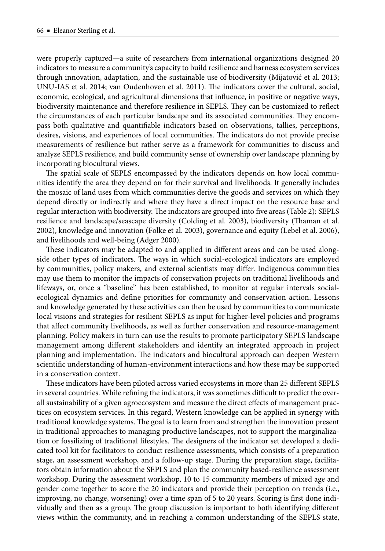were properly captured—a suite of researchers from international organizations designed 20 indicators to measure a community's capacity to build resilience and harness ecosystem services through innovation, adaptation, and the sustainable use of biodiversity (Mijatović et al. 2013; UNU-IAS et al. 2014; van Oudenhoven et al. 2011). The indicators cover the cultural, social, economic, ecological, and agricultural dimensions that influence, in positive or negative ways, biodiversity maintenance and therefore resilience in SEPLS. They can be customized to reflect the circumstances of each particular landscape and its associated communities. They encompass both qualitative and quantifable indicators based on observations, tallies, perceptions, desires, visions, and experiences of local communities. The indicators do not provide precise measurements of resilience but rather serve as a framework for communities to discuss and analyze SEPLS resilience, and build community sense of ownership over landscape planning by incorporating biocultural views.

The spatial scale of SEPLS encompassed by the indicators depends on how local communities identify the area they depend on for their survival and livelihoods. It generally includes the mosaic of land uses from which communities derive the goods and services on which they depend directly or indirectly and where they have a direct impact on the resource base and regular interaction with biodiversity. The indicators are grouped into five areas (Table 2): SEPLS resilience and landscape/seascape diversity (Colding et al. 2003), biodiversity (Taman et al. 2002), knowledge and innovation (Folke et al. 2003), governance and equity (Lebel et al. 2006), and livelihoods and well-being (Adger 2000).

These indicators may be adapted to and applied in different areas and can be used alongside other types of indicators. The ways in which social-ecological indicators are employed by communities, policy makers, and external scientists may difer. Indigenous communities may use them to monitor the impacts of conservation projects on traditional livelihoods and lifeways, or, once a "baseline" has been established, to monitor at regular intervals socialecological dynamics and defne priorities for community and conservation action. Lessons and knowledge generated by these activities can then be used by communities to communicate local visions and strategies for resilient SEPLS as input for higher-level policies and programs that afect community livelihoods, as well as further conservation and resource-management planning. Policy makers in turn can use the results to promote participatory SEPLS landscape management among diferent stakeholders and identify an integrated approach in project planning and implementation. The indicators and biocultural approach can deepen Western scientifc understanding of human-environment interactions and how these may be supported in a conservation context.

in several countries. While refining the indicators, it was sometimes difficult to predict the over-These indicators have been piloted across varied ecosystems in more than 25 different SEPLS all sustainability of a given agroecosystem and measure the direct efects of management practices on ecosystem services. In this regard, Western knowledge can be applied in synergy with traditional knowledge systems. The goal is to learn from and strengthen the innovation present in traditional approaches to managing productive landscapes, not to support the marginalization or fossilizing of traditional lifestyles. The designers of the indicator set developed a dedicated tool kit for facilitators to conduct resilience assessments, which consists of a preparation stage, an assessment workshop, and a follow-up stage. During the preparation stage, facilitators obtain information about the SEPLS and plan the community based-resilience assessment workshop. During the assessment workshop, 10 to 15 community members of mixed age and gender come together to score the 20 indicators and provide their perception on trends (i.e., improving, no change, worsening) over a time span of 5 to 20 years. Scoring is frst done individually and then as a group. The group discussion is important to both identifying different views within the community, and in reaching a common understanding of the SEPLS state,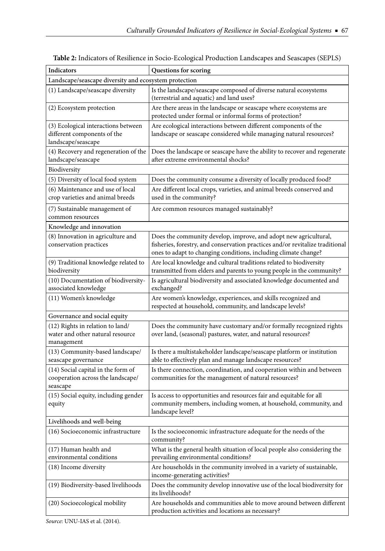| Indicators                                                                               | Questions for scoring                                                                                                                                                                                                |
|------------------------------------------------------------------------------------------|----------------------------------------------------------------------------------------------------------------------------------------------------------------------------------------------------------------------|
| Landscape/seascape diversity and ecosystem protection                                    |                                                                                                                                                                                                                      |
| (1) Landscape/seascape diversity                                                         | Is the landscape/seascape composed of diverse natural ecosystems<br>(terrestrial and aquatic) and land uses?                                                                                                         |
| (2) Ecosystem protection                                                                 | Are there areas in the landscape or seascape where ecosystems are<br>protected under formal or informal forms of protection?                                                                                         |
| (3) Ecological interactions between<br>different components of the<br>landscape/seascape | Are ecological interactions between different components of the<br>landscape or seascape considered while managing natural resources?                                                                                |
| (4) Recovery and regeneration of the<br>landscape/seascape                               | Does the landscape or seascape have the ability to recover and regenerate<br>after extreme environmental shocks?                                                                                                     |
| Biodiversity                                                                             |                                                                                                                                                                                                                      |
| (5) Diversity of local food system                                                       | Does the community consume a diversity of locally produced food?                                                                                                                                                     |
| (6) Maintenance and use of local<br>crop varieties and animal breeds                     | Are different local crops, varieties, and animal breeds conserved and<br>used in the community?                                                                                                                      |
| (7) Sustainable management of<br>common resources                                        | Are common resources managed sustainably?                                                                                                                                                                            |
| Knowledge and innovation                                                                 |                                                                                                                                                                                                                      |
| (8) Innovation in agriculture and<br>conservation practices                              | Does the community develop, improve, and adopt new agricultural,<br>fisheries, forestry, and conservation practices and/or revitalize traditional<br>ones to adapt to changing conditions, including climate change? |
| (9) Traditional knowledge related to<br>biodiversity                                     | Are local knowledge and cultural traditions related to biodiversity<br>transmitted from elders and parents to young people in the community?                                                                         |
| (10) Documentation of biodiversity-<br>associated knowledge                              | Is agricultural biodiversity and associated knowledge documented and<br>exchanged?                                                                                                                                   |
| (11) Women's knowledge                                                                   | Are women's knowledge, experiences, and skills recognized and<br>respected at household, community, and landscape levels?                                                                                            |
| Governance and social equity                                                             |                                                                                                                                                                                                                      |
| (12) Rights in relation to land/<br>water and other natural resource<br>management       | Does the community have customary and/or formally recognized rights<br>over land, (seasonal) pastures, water, and natural resources?                                                                                 |
| (13) Community-based landscape/<br>seascape governance                                   | Is there a multistakeholder landscape/seascape platform or institution<br>able to effectively plan and manage landscape resources?                                                                                   |
| (14) Social capital in the form of<br>cooperation across the landscape/<br>seascape      | Is there connection, coordination, and cooperation within and between<br>communities for the management of natural resources?                                                                                        |
| (15) Social equity, including gender<br>equity                                           | Is access to opportunities and resources fair and equitable for all<br>community members, including women, at household, community, and<br>landscape level?                                                          |
| Livelihoods and well-being                                                               |                                                                                                                                                                                                                      |
| (16) Socioeconomic infrastructure                                                        | Is the socioeconomic infrastructure adequate for the needs of the<br>community?                                                                                                                                      |
| (17) Human health and<br>environmental conditions                                        | What is the general health situation of local people also considering the<br>prevailing environmental conditions?                                                                                                    |
| (18) Income diversity                                                                    | Are households in the community involved in a variety of sustainable,<br>income-generating activities?                                                                                                               |
| (19) Biodiversity-based livelihoods                                                      | Does the community develop innovative use of the local biodiversity for<br>its livelihoods?                                                                                                                          |
| (20) Socioecological mobility                                                            | Are households and communities able to move around between different<br>production activities and locations as necessary?                                                                                            |

 **Table 2:** Indicators of Resilience in Socio-Ecological Production Landscapes and Seascapes (SEPLS)

*Source*: UNU-IAS et al. (2014).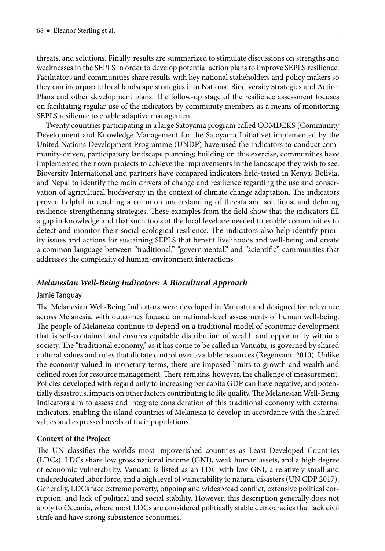threats, and solutions. Finally, results are summarized to stimulate discussions on strengths and weaknesses in the SEPLS in order to develop potential action plans to improve SEPLS resilience. Facilitators and communities share results with key national stakeholders and policy makers so they can incorporate local landscape strategies into National Biodiversity Strategies and Action Plans and other development plans. The follow-up stage of the resilience assessment focuses on facilitating regular use of the indicators by community members as a means of monitoring SEPLS resilience to enable adaptive management.

Twenty countries participating in a large Satoyama program called COMDEKS (Community Development and Knowledge Management for the Satoyama Initiative) implemented by the United Nations Development Programme (UNDP) have used the indicators to conduct community-driven, participatory landscape planning; building on this exercise, communities have implemented their own projects to achieve the improvements in the landscape they wish to see. Bioversity International and partners have compared indicators feld-tested in Kenya, Bolivia, and Nepal to identify the main drivers of change and resilience regarding the use and conservation of agricultural biodiversity in the context of climate change adaptation. The indicators proved helpful in reaching a common understanding of threats and solutions, and defining resilience-strengthening strategies. These examples from the field show that the indicators fill a gap in knowledge and that such tools at the local level are needed to enable communities to detect and monitor their social-ecological resilience. The indicators also help identify priority issues and actions for sustaining SEPLS that beneft livelihoods and well-being and create a common language between "traditional," "governmental," and "scientifc" communities that addresses the complexity of human-environment interactions.

### *Melanesian Well-Being Indicators: A Biocultural Approach*

### Jamie Tanguay

The Melanesian Well-Being Indicators were developed in Vanuatu and designed for relevance across Melanesia, with outcomes focused on national-level assessments of human well-being. The people of Melanesia continue to depend on a traditional model of economic development that is self-contained and ensures equitable distribution of wealth and opportunity within a society. The "traditional economy," as it has come to be called in Vanuatu, is governed by shared cultural values and rules that dictate control over available resources (Regenvanu 2010). Unlike the economy valued in monetary terms, there are imposed limits to growth and wealth and defined roles for resource management. There remains, however, the challenge of measurement. Policies developed with regard only to increasing per capita GDP can have negative, and potentially disastrous, impacts on other factors contributing to life quality. The Melanesian Well-Being Indicators aim to assess and integrate consideration of this traditional economy with external indicators, enabling the island countries of Melanesia to develop in accordance with the shared values and expressed needs of their populations.

### **Context of the Project**

The UN classifies the world's most impoverished countries as Least Developed Countries (LDCs). LDCs share low gross national income (GNI), weak human assets, and a high degree of economic vulnerability. Vanuatu is listed as an LDC with low GNI, a relatively small and undereducated labor force, and a high level of vulnerability to natural disasters (UN CDP 2017). Generally, LDCs face extreme poverty, ongoing and widespread confict, extensive political corruption, and lack of political and social stability. However, this description generally does not apply to Oceania, where most LDCs are considered politically stable democracies that lack civil strife and have strong subsistence economies.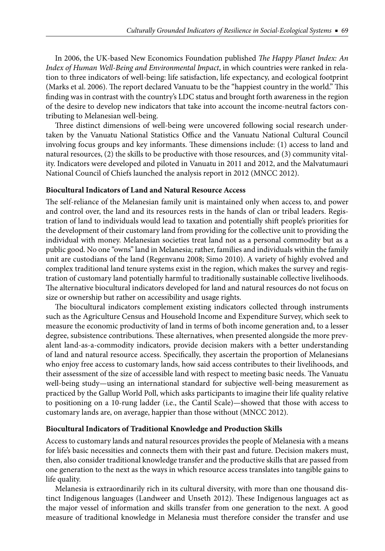In 2006, the UK-based New Economics Foundation published *The Happy Planet Index: An Index of Human Well-Being and Environmental Impact*, in which countries were ranked in relation to three indicators of well-being: life satisfaction, life expectancy, and ecological footprint (Marks et al. 2006). The report declared Vanuatu to be the "happiest country in the world." This fnding was in contrast with the country's LDC status and brought forth awareness in the region of the desire to develop new indicators that take into account the income-neutral factors contributing to Melanesian well-being.

taken by the Vanuatu National Statistics Office and the Vanuatu National Cultural Council Three distinct dimensions of well-being were uncovered following social research underinvolving focus groups and key informants. These dimensions include: (1) access to land and natural resources, (2) the skills to be productive with those resources, and (3) community vitality. Indicators were developed and piloted in Vanuatu in 2011 and 2012, and the Malvatumauri National Council of Chiefs launched the analysis report in 2012 (MNCC 2012).

### **Biocultural Indicators of Land and Natural Resource Access**

The self-reliance of the Melanesian family unit is maintained only when access to, and power and control over, the land and its resources rests in the hands of clan or tribal leaders. Registration of land to individuals would lead to taxation and potentially shif people's priorities for the development of their customary land from providing for the collective unit to providing the individual with money. Melanesian societies treat land not as a personal commodity but as a public good. No one "owns" land in Melanesia; rather, families and individuals within the family unit are custodians of the land (Regenvanu 2008; Simo 2010). A variety of highly evolved and complex traditional land tenure systems exist in the region, which makes the survey and registration of customary land potentially harmful to traditionally sustainable collective livelihoods. The alternative biocultural indicators developed for land and natural resources do not focus on size or ownership but rather on accessibility and usage rights.

their assessment of the size of accessible land with respect to meeting basic needs. The Vanuatu The biocultural indicators complement existing indicators collected through instruments such as the Agriculture Census and Household Income and Expenditure Survey, which seek to measure the economic productivity of land in terms of both income generation and, to a lesser degree, subsistence contributions. These alternatives, when presented alongside the more prevalent land-as-a-commodity indicators, provide decision makers with a better understanding of land and natural resource access. Specifcally, they ascertain the proportion of Melanesians who enjoy free access to customary lands, how said access contributes to their livelihoods, and well-being study—using an international standard for subjective well-being measurement as practiced by the Gallup World Poll, which asks participants to imagine their life quality relative to positioning on a 10-rung ladder (i.e., the Cantil Scale)—showed that those with access to customary lands are, on average, happier than those without (MNCC 2012).

### **Biocultural Indicators of Traditional Knowledge and Production Skills**

Access to customary lands and natural resources provides the people of Melanesia with a means for life's basic necessities and connects them with their past and future. Decision makers must, then, also consider traditional knowledge transfer and the productive skills that are passed from one generation to the next as the ways in which resource access translates into tangible gains to life quality.

Melanesia is extraordinarily rich in its cultural diversity, with more than one thousand distinct Indigenous languages (Landweer and Unseth 2012). These Indigenous languages act as the major vessel of information and skills transfer from one generation to the next. A good measure of traditional knowledge in Melanesia must therefore consider the transfer and use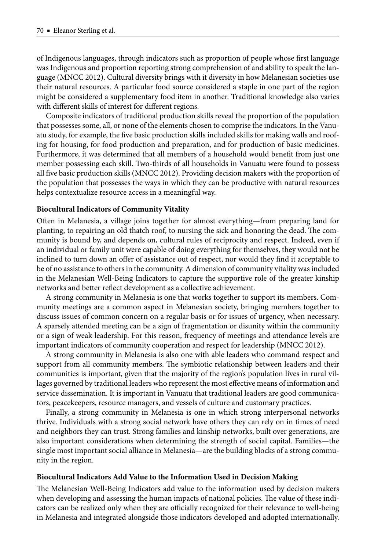of Indigenous languages, through indicators such as proportion of people whose first language was Indigenous and proportion reporting strong comprehension of and ability to speak the language (MNCC 2012). Cultural diversity brings with it diversity in how Melanesian societies use their natural resources. A particular food source considered a staple in one part of the region might be considered a supplementary food item in another. Traditional knowledge also varies with different skills of interest for different regions.

Composite indicators of traditional production skills reveal the proportion of the population that possesses some, all, or none of the elements chosen to comprise the indicators. In the Vanuatu study, for example, the fve basic production skills included skills for making walls and roofing for housing, for food production and preparation, and for production of basic medicines. Furthermore, it was determined that all members of a household would beneft from just one member possessing each skill. Two-thirds of all households in Vanuatu were found to possess all fve basic production skills (MNCC 2012). Providing decision makers with the proportion of the population that possesses the ways in which they can be productive with natural resources helps contextualize resource access in a meaningful way.

### **Biocultural Indicators of Community Vitality**

Ofen in Melanesia, a village joins together for almost everything—from preparing land for planting, to repairing an old thatch roof, to nursing the sick and honoring the dead. The community is bound by, and depends on, cultural rules of reciprocity and respect. Indeed, even if an individual or family unit were capable of doing everything for themselves, they would not be inclined to turn down an offer of assistance out of respect, nor would they find it acceptable to be of no assistance to others in the community. A dimension of community vitality was included in the Melanesian Well-Being Indicators to capture the supportive role of the greater kinship networks and better refect development as a collective achievement.

A strong community in Melanesia is one that works together to support its members. Community meetings are a common aspect in Melanesian society, bringing members together to discuss issues of common concern on a regular basis or for issues of urgency, when necessary. A sparsely attended meeting can be a sign of fragmentation or disunity within the community or a sign of weak leadership. For this reason, frequency of meetings and attendance levels are important indicators of community cooperation and respect for leadership (MNCC 2012).

A strong community in Melanesia is also one with able leaders who command respect and support from all community members. The symbiotic relationship between leaders and their communities is important, given that the majority of the region's population lives in rural villages governed by traditional leaders who represent the most efective means of information and service dissemination. It is important in Vanuatu that traditional leaders are good communicators, peacekeepers, resource managers, and vessels of culture and customary practices.

Finally, a strong community in Melanesia is one in which strong interpersonal networks thrive. Individuals with a strong social network have others they can rely on in times of need and neighbors they can trust. Strong families and kinship networks, built over generations, are also important considerations when determining the strength of social capital. Families—the single most important social alliance in Melanesia—are the building blocks of a strong community in the region.

### **Biocultural Indicators Add Value to the Information Used in Decision Making**

cators can be realized only when they are officially recognized for their relevance to well-being The Melanesian Well-Being Indicators add value to the information used by decision makers when developing and assessing the human impacts of national policies. The value of these indiin Melanesia and integrated alongside those indicators developed and adopted internationally.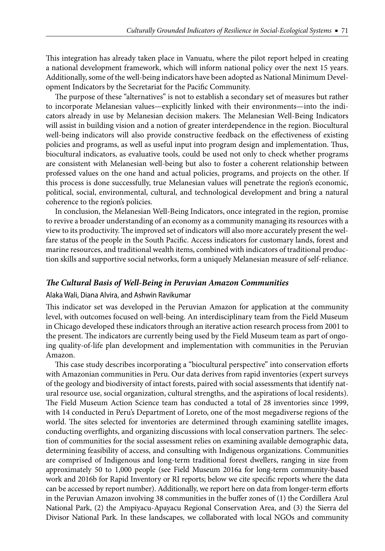This integration has already taken place in Vanuatu, where the pilot report helped in creating a national development framework, which will inform national policy over the next 15 years. Additionally, some of the well-being indicators have been adopted as National Minimum Development Indicators by the Secretariat for the Pacific Community.

well-being indicators will also provide constructive feedback on the effectiveness of existing The purpose of these "alternatives" is not to establish a secondary set of measures but rather to incorporate Melanesian values—explicitly linked with their environments—into the indicators already in use by Melanesian decision makers. The Melanesian Well-Being Indicators will assist in building vision and a notion of greater interdependence in the region. Biocultural policies and programs, as well as useful input into program design and implementation. Thus, biocultural indicators, as evaluative tools, could be used not only to check whether programs are consistent with Melanesian well-being but also to foster a coherent relationship between professed values on the one hand and actual policies, programs, and projects on the other. If this process is done successfully, true Melanesian values will penetrate the region's economic, political, social, environmental, cultural, and technological development and bring a natural coherence to the region's policies.

In conclusion, the Melanesian Well-Being Indicators, once integrated in the region, promise to revive a broader understanding of an economy as a community managing its resources with a view to its productivity. The improved set of indicators will also more accurately present the welfare status of the people in the South Pacifc. Access indicators for customary lands, forest and marine resources, and traditional wealth items, combined with indicators of traditional production skills and supportive social networks, form a uniquely Melanesian measure of self-reliance.

### **The Cultural Basis of Well-Being in Peruvian Amazon Communities**

### Alaka Wali, Diana Alvira, and Ashwin Ravikumar

This indicator set was developed in the Peruvian Amazon for application at the community level, with outcomes focused on well-being. An interdisciplinary team from the Field Museum in Chicago developed these indicators through an iterative action research process from 2001 to the present. The indicators are currently being used by the Field Museum team as part of ongoing quality-of-life plan development and implementation with communities in the Peruvian Amazon.

 approximately 50 to 1,000 people (see Field Museum 2016a for long-term community-based This case study describes incorporating a "biocultural perspective" into conservation efforts with Amazonian communities in Peru. Our data derives from rapid inventories (expert surveys of the geology and biodiversity of intact forests, paired with social assessments that identify natural resource use, social organization, cultural strengths, and the aspirations of local residents). The Field Museum Action Science team has conducted a total of 28 inventories since 1999, with 14 conducted in Peru's Department of Loreto, one of the most megadiverse regions of the world. The sites selected for inventories are determined through examining satellite images, conducting overflights, and organizing discussions with local conservation partners. The selection of communities for the social assessment relies on examining available demographic data, determining feasibility of access, and consulting with Indigenous organizations. Communities are comprised of Indigenous and long-term traditional forest dwellers, ranging in size from work and 2016b for Rapid Inventory or RI reports; below we cite specifc reports where the data can be accessed by report number). Additionally, we report here on data from longer-term efforts in the Peruvian Amazon involving 38 communities in the bufer zones of (1) the Cordillera Azul National Park, (2) the Ampiyacu-Apayacu Regional Conservation Area, and (3) the Sierra del Divisor National Park. In these landscapes, we collaborated with local NGOs and community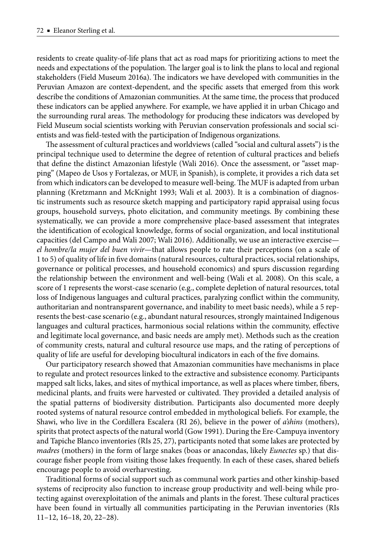residents to create quality-of-life plans that act as road maps for prioritizing actions to meet the needs and expectations of the population. The larger goal is to link the plans to local and regional stakeholders (Field Museum 2016a). The indicators we have developed with communities in the Peruvian Amazon are context-dependent, and the specifc assets that emerged from this work describe the conditions of Amazonian communities. At the same time, the process that produced these indicators can be applied anywhere. For example, we have applied it in urban Chicago and the surrounding rural areas. The methodology for producing these indicators was developed by Field Museum social scientists working with Peruvian conservation professionals and social scientists and was feld-tested with the participation of Indigenous organizations.

The assessment of cultural practices and worldviews (called "social and cultural assets") is the principal technique used to determine the degree of retention of cultural practices and beliefs that defne the distinct Amazonian lifestyle (Wali 2016). Once the assessment, or "asset mapping" (Mapeo de Usos y Fortalezas, or MUF, in Spanish), is complete, it provides a rich data set from which indicators can be developed to measure well-being. The MUF is adapted from urban planning (Kretzmann and McKnight 1993; Wali et al. 2003). It is a combination of diagnostic instruments such as resource sketch mapping and participatory rapid appraisal using focus groups, household surveys, photo elicitation, and community meetings. By combining these systematically, we can provide a more comprehensive place-based assessment that integrates the identifcation of ecological knowledge, forms of social organization, and local institutional capacities (del Campo and Wali 2007; Wali 2016). Additionally, we use an interactive exercise *el hombre/la mujer del buen vivir*—that allows people to rate their perceptions (on a scale of 1 to 5) of quality of life in fve domains (natural resources, cultural practices, social relationships, governance or political processes, and household economics) and spurs discussion regarding the relationship between the environment and well-being (Wali et al. 2008). On this scale, a score of 1 represents the worst-case scenario (e.g., complete depletion of natural resources, total loss of Indigenous languages and cultural practices, paralyzing confict within the community, authoritarian and nontransparent governance, and inability to meet basic needs), while a 5 represents the best-case scenario (e.g., abundant natural resources, strongly maintained Indigenous languages and cultural practices, harmonious social relations within the community, effective and legitimate local governance, and basic needs are amply met). Methods such as the creation of community crests, natural and cultural resource use maps, and the rating of perceptions of quality of life are useful for developing biocultural indicators in each of the five domains.

Our participatory research showed that Amazonian communities have mechanisms in place to regulate and protect resources linked to the extractive and subsistence economy. Participants mapped salt licks, lakes, and sites of mythical importance, as well as places where timber, fibers, medicinal plants, and fruits were harvested or cultivated. They provided a detailed analysis of the spatial patterns of biodiversity distribution. Participants also documented more deeply rooted systems of natural resource control embedded in mythological beliefs. For example, the Shawi, who live in the Cordillera Escalera (RI 26), believe in the power of *a'shins* (mothers), spirits that protect aspects of the natural world (Gow 1991). During the Ere-Campuya inventory and Tapiche Blanco inventories (RIs 25, 27), participants noted that some lakes are protected by *madres* (mothers) in the form of large snakes (boas or anacondas, likely *Eunectes* sp.) that discourage fsher people from visiting those lakes frequently. In each of these cases, shared beliefs encourage people to avoid overharvesting.

Traditional forms of social support such as communal work parties and other kinship-based systems of reciprocity also function to increase group productivity and well-being while protecting against overexploitation of the animals and plants in the forest. These cultural practices have been found in virtually all communities participating in the Peruvian inventories (RIs 11–12, 16–18, 20, 22–28).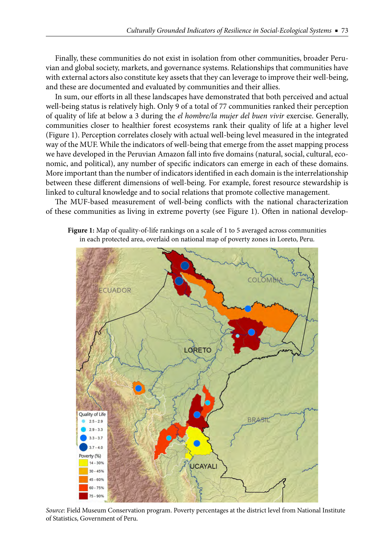Finally, these communities do not exist in isolation from other communities, broader Peruvian and global society, markets, and governance systems. Relationships that communities have with external actors also constitute key assets that they can leverage to improve their well-being, and these are documented and evaluated by communities and their allies.

In sum, our eforts in all these landscapes have demonstrated that both perceived and actual well-being status is relatively high. Only 9 of a total of 77 communities ranked their perception of quality of life at below a 3 during the *el hombre/la mujer del buen vivir* exercise. Generally, communities closer to healthier forest ecosystems rank their quality of life at a higher level (Figure 1). Perception correlates closely with actual well-being level measured in the integrated way of the MUF. While the indicators of well-being that emerge from the asset mapping process we have developed in the Peruvian Amazon fall into fve domains (natural, social, cultural, economic, and political), any number of specific indicators can emerge in each of these domains. More important than the number of indicators identifed in each domain is the interrelationship between these diferent dimensions of well-being. For example, forest resource stewardship is linked to cultural knowledge and to social relations that promote collective management.

The MUF-based measurement of well-being conflicts with the national characterization of these communities as living in extreme poverty (see Figure 1). Ofen in national develop-

**Figure 1:** Map of quality-of-life rankings on a scale of 1 to 5 averaged across communities in each protected area, overlaid on national map of poverty zones in Loreto, Peru.



*Source*: Field Museum Conservation program. Poverty percentages at the district level from National Institute of Statistics, Government of Peru.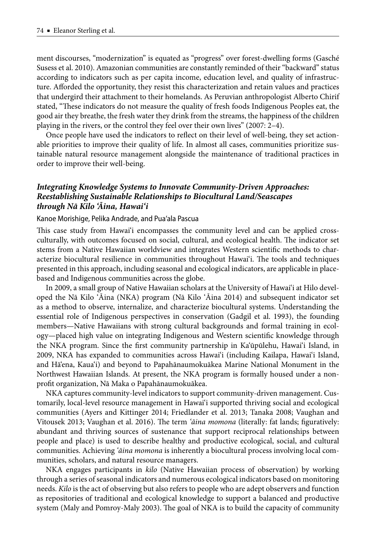ment discourses, "modernization" is equated as "progress" over forest-dwelling forms (Gasché Susess et al. 2010). Amazonian communities are constantly reminded of their "backward" status according to indicators such as per capita income, education level, and quality of infrastructure. Aforded the opportunity, they resist this characterization and retain values and practices that undergird their attachment to their homelands. As Peruvian anthropologist Alberto Chirif stated, "Tese indicators do not measure the quality of fresh foods Indigenous Peoples eat, the good air they breathe, the fresh water they drink from the streams, the happiness of the children playing in the rivers, or the control they feel over their own lives" (2007: 2–4).

Once people have used the indicators to refect on their level of well-being, they set actionable priorities to improve their quality of life. In almost all cases, communities prioritize sustainable natural resource management alongside the maintenance of traditional practices in order to improve their well-being.

### *Integrating Knowledge Systems to Innovate Community-Driven Approaches: Reestablishing Sustainable Relationships to Biocultural Land/Seascapes through Nā Kilo 'Āina, Hawai'i*

### Kanoe Morishige, Pelika Andrade, and Pua'ala Pascua

This case study from Hawai'i encompasses the community level and can be applied crossculturally, with outcomes focused on social, cultural, and ecological health. The indicator set stems from a Native Hawaiian worldview and integrates Western scientifc methods to characterize biocultural resilience in communities throughout Hawai'i. The tools and techniques presented in this approach, including seasonal and ecological indicators, are applicable in placebased and Indigenous communities across the globe.

In 2009, a small group of Native Hawaiian scholars at the University of Hawai'i at Hilo developed the Nā Kilo 'Āina (NKA) program (Nā Kilo 'Āina 2014) and subsequent indicator set as a method to observe, internalize, and characterize biocultural systems. Understanding the essential role of Indigenous perspectives in conservation (Gadgil et al. 1993), the founding members—Native Hawaiians with strong cultural backgrounds and formal training in ecology—placed high value on integrating Indigenous and Western scientifc knowledge through the NKA program. Since the frst community partnership in Ka'ūpūlehu, Hawai'i Island, in 2009, NKA has expanded to communities across Hawai'i (including Kailapa, Hawai'i Island, and Hā'ena, Kaua'i) and beyond to Papahānaumokuākea Marine National Monument in the Northwest Hawaiian Islands. At present, the NKA program is formally housed under a nonproft organization, Nā Maka o Papahānaumokuākea.

NKA captures community-level indicators to support community-driven management. Customarily, local-level resource management in Hawai'i supported thriving social and ecological communities (Ayers and Kittinger 2014; Friedlander et al. 2013; Tanaka 2008; Vaughan and Vitousek 2013; Vaughan et al. 2016). The term 'āina momona (literally: fat lands; figuratively: abundant and thriving sources of sustenance that support reciprocal relationships between people and place) is used to describe healthy and productive ecological, social, and cultural communities. Achieving *'āina momona* is inherently a biocultural process involving local communities, scholars, and natural resource managers.

NKA engages participants in *kilo* (Native Hawaiian process of observation) by working through a series of seasonal indicators and numerous ecological indicators based on monitoring needs. *Kilo* is the act of observing but also refers to people who are adept observers and function as repositories of traditional and ecological knowledge to support a balanced and productive system (Maly and Pomroy-Maly 2003). The goal of NKA is to build the capacity of community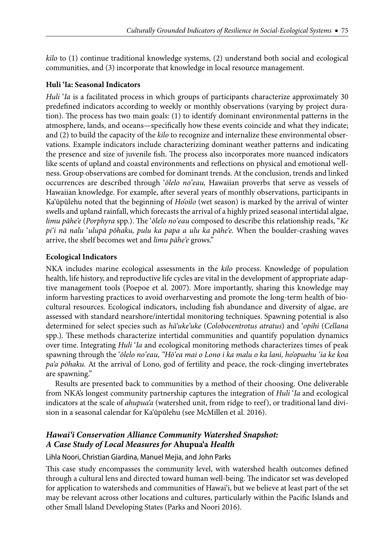*kilo* to (1) continue traditional knowledge systems, (2) understand both social and ecological communities, and (3) incorporate that knowledge in local resource management.

### **Huli 'Ia: Seasonal Indicators**

*Huli* '*Ia* is a facilitated process in which groups of participants characterize approximately 30 predefned indicators according to weekly or monthly observations (varying by project duration). The process has two main goals: (1) to identify dominant environmental patterns in the atmosphere, lands, and oceans—specifcally how these events coincide and what they indicate; and (2) to build the capacity of the *kilo* to recognize and internalize these environmental observations. Example indicators include characterizing dominant weather patterns and indicating the presence and size of juvenile fish. The process also incorporates more nuanced indicators like scents of upland and coastal environments and refections on physical and emotional wellness. Group observations are combed for dominant trends. At the conclusion, trends and linked occurrences are described through '*ōlelo no'eau,* Hawaiian proverbs that serve as vessels of Hawaiian knowledge. For example, afer several years of monthly observations, participants in Ka'ūpūlehu noted that the beginning of *Ho'oilo* (wet season) is marked by the arrival of winter swells and upland rainfall, which forecasts the arrival of a highly prized seasonal intertidal algae, *limu pāhe'e* (*Porphyra* spp.). The '*ōlelo no'eau* composed to describe this relationship reads, "*Ke pi'i nā nalu* '*ulupā pōhaku, pulu ka papa a ulu ka pāhe'e.* When the boulder-crashing waves arrive, the shelf becomes wet and *limu pāhe'e* grows."

### **Ecological Indicators**

NKA includes marine ecological assessments in the *kilo* process. Knowledge of population health, life history, and reproductive life cycles are vital in the development of appropriate adaptive management tools (Poepoe et al. 2007). More importantly, sharing this knowledge may inform harvesting practices to avoid overharvesting and promote the long-term health of biocultural resources. Ecological indicators, including fsh abundance and diversity of algae, are assessed with standard nearshore/intertidal monitoring techniques. Spawning potential is also determined for select species such as *hā'uke'uke* (*Colobocentrotus atratus*) and '*opihi* (*Cellana*  spp.). These methods characterize intertidal communities and quantify population dynamics over time. Integrating *Huli* '*Ia* and ecological monitoring methods characterizes times of peak spawning through the '*ōlelo no'eau, "Hō'ea mai o Lono i ka malu o ka lani, ho'opuehu 'ia ke koa pa'a pōhaku.* At the arrival of Lono, god of fertility and peace, the rock-clinging invertebrates are spawning."

Results are presented back to communities by a method of their choosing. One deliverable from NKA's longest community partnership captures the integration of *Huli* '*Ia* and ecological indicators at the scale of *ahupua'a* (watershed unit, from ridge to reef), or traditional land division in a seasonal calendar for Ka'ūpūlehu (see McMillen et al. 2016).

### *Hawai***'***i Conservation Alliance Community Watershed Snapshot: A Case Study of Local Measures for* **Ahupua'a** *Health*

### Lihla Noori, Christian Giardina, Manuel Mejia, and John Parks

This case study encompasses the community level, with watershed health outcomes defined through a cultural lens and directed toward human well-being. The indicator set was developed for application to watersheds and communities of Hawai'i, but we believe at least part of the set may be relevant across other locations and cultures, particularly within the Pacifc Islands and other Small Island Developing States (Parks and Noori 2016).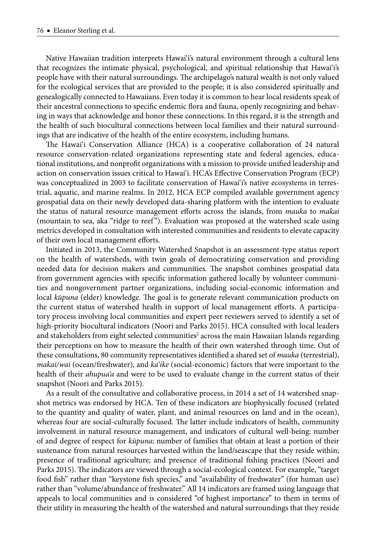Native Hawaiian tradition interprets Hawai'i's natural environment through a cultural lens that recognizes the intimate physical, psychological, and spiritual relationship that Hawai'i's people have with their natural surroundings. The archipelago's natural wealth is not only valued for the ecological services that are provided to the people; it is also considered spiritually and genealogically connected to Hawaiians. Even today it is common to hear local residents speak of their ancestral connections to specifc endemic fora and fauna, openly recognizing and behaving in ways that acknowledge and honor these connections. In this regard, it is the strength and the health of such biocultural connections between local families and their natural surroundings that are indicative of the health of the entire ecosystem, including humans.

The Hawai'i Conservation Alliance (HCA) is a cooperative collaboration of 24 natural resource conservation-related organizations representing state and federal agencies, educational institutions, and nonproft organizations with a mission to provide unifed leadership and action on conservation issues critical to Hawai'i. HCA's Efective Conservation Program (ECP) was conceptualized in 2003 to facilitate conservation of Hawai'i's native ecosystems in terrestrial, aquatic, and marine realms. In 2012, HCA ECP compiled available government agency geospatial data on their newly developed data-sharing platform with the intention to evaluate the status of natural resource management eforts across the islands, from *mauka* to *makai*  (mountain to sea, aka "ridge to reef "). Evaluation was proposed at the watershed scale using metrics developed in consultation with interested communities and residents to elevate capacity of their own local management efforts.

Initiated in 2013, the Community Watershed Snapshot is an assessment-type status report on the health of watersheds, with twin goals of democratizing conservation and providing needed data for decision makers and communities. The snapshot combines geospatial data from government agencies with specifc information gathered locally by volunteer communities and nongovernment partner organizations, including social-economic information and local *kūpuna* (elder) knowledge. The goal is to generate relevant communication products on the current status of watershed health in support of local management eforts. A participatory process involving local communities and expert peer reviewers served to identify a set of high-priority biocultural indicators (Noori and Parks 2015). HCA consulted with local leaders and stakeholders from eight selected communities<sup>2</sup> across the main Hawaiian Islands regarding their perceptions on how to measure the health of their own watershed through time. Out of these consultations, 80 community representatives identifed a shared set of *mauka* (terrestrial), *makai/wai* (ocean/freshwater), and *ka'ike* (social-economic) factors that were important to the health of their *ahupua'a* and were to be used to evaluate change in the current status of their snapshot (Noori and Parks 2015).

As a result of the consultative and collaborative process, in 2014 a set of 14 watershed snapshot metrics was endorsed by HCA. Ten of these indicators are biophysically focused (related to the quantity and quality of water, plant, and animal resources on land and in the ocean), whereas four are social-culturally focused. The latter include indicators of health, community involvement in natural resource management, and indicators of cultural well-being: number of and degree of respect for *kūpuna*; number of families that obtain at least a portion of their sustenance from natural resources harvested within the land/seascape that they reside within; presence of traditional agriculture; and presence of traditional fshing practices (Noori and Parks 2015). The indicators are viewed through a social-ecological context. For example, "target food fish" rather than "keystone fish species," and "availability of freshwater" (for human use) rather than "volume/abundance of freshwater." All 14 indicators are framed using language that appeals to local communities and is considered "of highest importance" to them in terms of their utility in measuring the health of the watershed and natural surroundings that they reside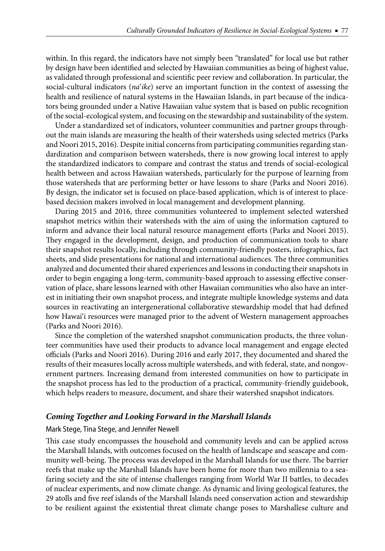within. In this regard, the indicators have not simply been "translated" for local use but rather by design have been identifed and selected by Hawaiian communities as being of highest value, as validated through professional and scientifc peer review and collaboration. In particular, the social-cultural indicators (*na*'*ike*) serve an important function in the context of assessing the health and resilience of natural systems in the Hawaiian Islands, in part because of the indicators being grounded under a Native Hawaiian value system that is based on public recognition of the social-ecological system, and focusing on the stewardship and sustainability of the system.

Under a standardized set of indicators, volunteer communities and partner groups throughout the main islands are measuring the health of their watersheds using selected metrics (Parks and Noori 2015, 2016). Despite initial concerns from participating communities regarding standardization and comparison between watersheds, there is now growing local interest to apply the standardized indicators to compare and contrast the status and trends of social-ecological health between and across Hawaiian watersheds, particularly for the purpose of learning from those watersheds that are performing better or have lessons to share (Parks and Noori 2016). By design, the indicator set is focused on place-based application, which is of interest to placebased decision makers involved in local management and development planning.

During 2015 and 2016, three communities volunteered to implement selected watershed snapshot metrics within their watersheds with the aim of using the information captured to inform and advance their local natural resource management eforts (Parks and Noori 2015). They engaged in the development, design, and production of communication tools to share their snapshot results locally, including through community-friendly posters, infographics, fact sheets, and slide presentations for national and international audiences. The three communities analyzed and documented their shared experiences and lessons in conducting their snapshots in order to begin engaging a long-term, community-based approach to assessing effective conservation of place, share lessons learned with other Hawaiian communities who also have an interest in initiating their own snapshot process, and integrate multiple knowledge systems and data sources in reactivating an intergenerational collaborative stewardship model that had defined how Hawai'i resources were managed prior to the advent of Western management approaches (Parks and Noori 2016).

officials (Parks and Noori 2016). During 2016 and early 2017, they documented and shared the Since the completion of the watershed snapshot communication products, the three volunteer communities have used their products to advance local management and engage elected results of their measures locally across multiple watersheds, and with federal, state, and nongovernment partners. Increasing demand from interested communities on how to participate in the snapshot process has led to the production of a practical, community-friendly guidebook, which helps readers to measure, document, and share their watershed snapshot indicators.

### *Coming Together and Looking Forward in the Marshall Islands*

### Mark Stege, Tina Stege, and Jennifer Newell

This case study encompasses the household and community levels and can be applied across the Marshall Islands, with outcomes focused on the health of landscape and seascape and community well-being. The process was developed in the Marshall Islands for use there. The barrier reefs that make up the Marshall Islands have been home for more than two millennia to a seafaring society and the site of intense challenges ranging from World War II battles, to decades of nuclear experiments, and now climate change. As dynamic and living geological features, the 29 atolls and fve reef islands of the Marshall Islands need conservation action and stewardship to be resilient against the existential threat climate change poses to Marshallese culture and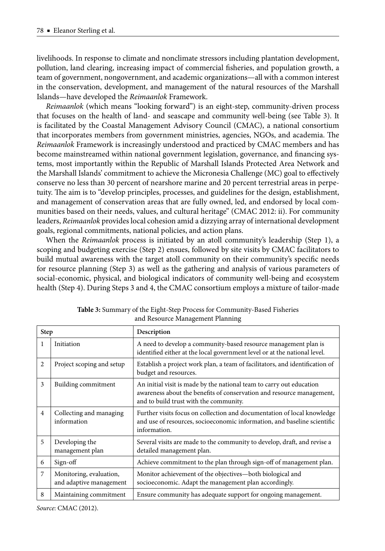livelihoods. In response to climate and nonclimate stressors including plantation development, pollution, land clearing, increasing impact of commercial fsheries, and population growth, a team of government, nongovernment, and academic organizations—all with a common interest in the conservation, development, and management of the natural resources of the Marshall Islands—have developed the *Reimaanlok* Framework.

*Reimaanlok* (which means "looking forward") is an eight-step, community-driven process that focuses on the health of land- and seascape and community well-being (see Table 3). It is facilitated by the Coastal Management Advisory Council (CMAC), a national consortium that incorporates members from government ministries, agencies, NGOs, and academia. The *Reimaanlok* Framework is increasingly understood and practiced by CMAC members and has become mainstreamed within national government legislation, governance, and financing systems, most importantly within the Republic of Marshall Islands Protected Area Network and the Marshall Islands' commitment to achieve the Micronesia Challenge (MC) goal to effectively conserve no less than 30 percent of nearshore marine and 20 percent terrestrial areas in perpetuity. The aim is to "develop principles, processes, and guidelines for the design, establishment, and management of conservation areas that are fully owned, led, and endorsed by local communities based on their needs, values, and cultural heritage" (CMAC 2012: ii). For community leaders, *Reimaanlok* provides local cohesion amid a dizzying array of international development goals, regional commitments, national policies, and action plans.

When the *Reimaanlok* process is initiated by an atoll community's leadership (Step 1), a scoping and budgeting exercise (Step 2) ensues, followed by site visits by CMAC facilitators to build mutual awareness with the target atoll community on their community's specific needs for resource planning (Step 3) as well as the gathering and analysis of various parameters of social-economic, physical, and biological indicators of community well-being and ecosystem health (Step 4). During Steps 3 and 4, the CMAC consortium employs a mixture of tailor-made

| <b>Step</b>    |                                                    | Description                                                                                                                                                                             |
|----------------|----------------------------------------------------|-----------------------------------------------------------------------------------------------------------------------------------------------------------------------------------------|
| 1              | Initiation                                         | A need to develop a community-based resource management plan is<br>identified either at the local government level or at the national level.                                            |
| 2              | Project scoping and setup                          | Establish a project work plan, a team of facilitators, and identification of<br>budget and resources.                                                                                   |
| 3              | Building commitment                                | An initial visit is made by the national team to carry out education<br>awareness about the benefits of conservation and resource management,<br>and to build trust with the community. |
| $\overline{4}$ | Collecting and managing<br>information             | Further visits focus on collection and documentation of local knowledge<br>and use of resources, socioeconomic information, and baseline scientific<br>information.                     |
| 5              | Developing the<br>management plan                  | Several visits are made to the community to develop, draft, and revise a<br>detailed management plan.                                                                                   |
| 6              | Sign-off                                           | Achieve commitment to the plan through sign-off of management plan.                                                                                                                     |
| 7              | Monitoring, evaluation,<br>and adaptive management | Monitor achievement of the objectives—both biological and<br>socioeconomic. Adapt the management plan accordingly.                                                                      |
| 8              | Maintaining commitment                             | Ensure community has adequate support for ongoing management.                                                                                                                           |

**Table 3:** Summary of the Eight-Step Process for Community-Based Fisheries and Resource Management Planning

*Source*: CMAC (2012).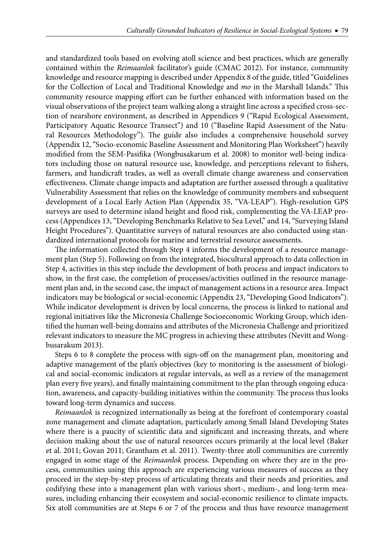and standardized tools based on evolving atoll science and best practices, which are generally contained within the *Reimaanlok* facilitator's guide (CMAC 2012). For instance, community knowledge and resource mapping is described under Appendix 8 of the guide, titled "Guidelines for the Collection of Local and Traditional Knowledge and *mo* in the Marshall Islands." This community resource mapping efort can be further enhanced with information based on the visual observations of the project team walking along a straight line across a specified cross-section of nearshore environment, as described in Appendices 9 ("Rapid Ecological Assessment, Participatory Aquatic Resource Transect") and 10 ("Baseline Rapid Assessment of the Natural Resources Methodology"). The guide also includes a comprehensive household survey (Appendix 12, "Socio-economic Baseline Assessment and Monitoring Plan Worksheet") heavily modifed from the SEM-Pasifka (Wongbusakarum et al. 2008) to monitor well-being indicators including those on natural resource use, knowledge, and perceptions relevant to fishers, farmers, and handicraft trades, as well as overall climate change awareness and conservation efectiveness. Climate change impacts and adaptation are further assessed through a qualitative Vulnerability Assessment that relies on the knowledge of community members and subsequent development of a Local Early Action Plan (Appendix 35, "VA-LEAP"). High-resolution GPS surveys are used to determine island height and food risk, complementing the VA-LEAP process (Appendices 13, "Developing Benchmarks Relative to Sea Level," and 14, "Surveying Island Height Procedures"). Quantitative surveys of natural resources are also conducted using standardized international protocols for marine and terrestrial resource assessments.

The information collected through Step 4 informs the development of a resource management plan (Step 5). Following on from the integrated, biocultural approach to data collection in Step 4, activities in this step include the development of both process and impact indicators to show, in the first case, the completion of processes/activities outlined in the resource management plan and, in the second case, the impact of management actions in a resource area. Impact indicators may be biological or social-economic (Appendix 23, "Developing Good Indicators"). While indicator development is driven by local concerns, the process is linked to national and regional initiatives like the Micronesia Challenge Socioeconomic Working Group, which identifed the human well-being domains and attributes of the Micronesia Challenge and prioritized relevant indicators to measure the MC progress in achieving these attributes (Nevitt and Wongbusarakum 2013).

Steps 6 to 8 complete the process with sign-of on the management plan, monitoring and adaptive management of the plan's objectives (key to monitoring is the assessment of biological and social-economic indicators at regular intervals, as well as a review of the management plan every fve years), and fnally maintaining commitment to the plan through ongoing education, awareness, and capacity-building initiatives within the community. The process thus looks toward long-term dynamics and success.

*Reimaanlok* is recognized internationally as being at the forefront of contemporary coastal zone management and climate adaptation, particularly among Small Island Developing States where there is a paucity of scientifc data and signifcant and increasing threats, and where decision making about the use of natural resources occurs primarily at the local level (Baker et al. 2011; Govan 2011; Grantham et al. 2011). Twenty-three atoll communities are currently engaged in some stage of the *Reimaanlok* process. Depending on where they are in the process, communities using this approach are experiencing various measures of success as they proceed in the step-by-step process of articulating threats and their needs and priorities, and codifying these into a management plan with various short-, medium-, and long-term measures, including enhancing their ecosystem and social-economic resilience to climate impacts. Six atoll communities are at Steps 6 or 7 of the process and thus have resource management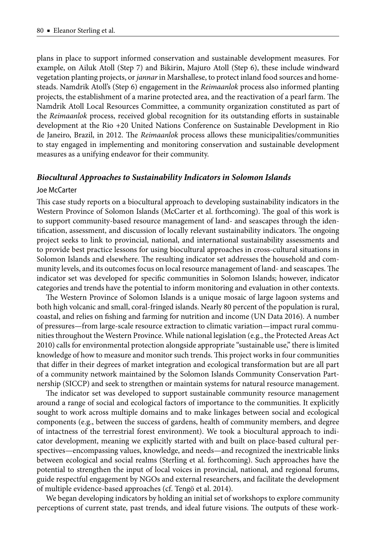plans in place to support informed conservation and sustainable development measures. For example, on Ailuk Atoll (Step 7) and Bikirin, Majuro Atoll (Step 6), these include windward vegetation planting projects, or *jannar* in Marshallese, to protect inland food sources and homesteads. Namdrik Atoll's (Step 6) engagement in the *Reimaanlok* process also informed planting projects, the establishment of a marine protected area, and the reactivation of a pearl farm. The Namdrik Atoll Local Resources Committee, a community organization constituted as part of the *Reimaanlok* process, received global recognition for its outstanding eforts in sustainable development at the Rio +20 United Nations Conference on Sustainable Development in Rio de Janeiro, Brazil, in 2012. The *Reimaanlok* process allows these municipalities/communities to stay engaged in implementing and monitoring conservation and sustainable development measures as a unifying endeavor for their community.

### *Biocultural Approaches to Sustainability Indicators in Solomon Islands*

#### Joe McCarter

Tis case study reports on a biocultural approach to developing sustainability indicators in the Western Province of Solomon Islands (McCarter et al. forthcoming). The goal of this work is to support community-based resource management of land- and seascapes through the identification, assessment, and discussion of locally relevant sustainability indicators. The ongoing project seeks to link to provincial, national, and international sustainability assessments and to provide best practice lessons for using biocultural approaches in cross-cultural situations in Solomon Islands and elsewhere. The resulting indicator set addresses the household and community levels, and its outcomes focus on local resource management of land- and seascapes. The indicator set was developed for specifc communities in Solomon Islands; however, indicator categories and trends have the potential to inform monitoring and evaluation in other contexts.

The Western Province of Solomon Islands is a unique mosaic of large lagoon systems and both high volcanic and small, coral-fringed islands. Nearly 80 percent of the population is rural, coastal, and relies on fshing and farming for nutrition and income (UN Data 2016). A number of pressures—from large-scale resource extraction to climatic variation—impact rural communities throughout the Western Province. While national legislation (e.g., the Protected Areas Act 2010) calls for environmental protection alongside appropriate "sustainable use," there is limited knowledge of how to measure and monitor such trends. This project works in four communities that difer in their degrees of market integration and ecological transformation but are all part of a community network maintained by the Solomon Islands Community Conservation Partnership (SICCP) and seek to strengthen or maintain systems for natural resource management.

The indicator set was developed to support sustainable community resource management around a range of social and ecological factors of importance to the communities. It explicitly sought to work across multiple domains and to make linkages between social and ecological components (e.g., between the success of gardens, health of community members, and degree of intactness of the terrestrial forest environment). We took a biocultural approach to indicator development, meaning we explicitly started with and built on place-based cultural perspectives—encompassing values, knowledge, and needs—and recognized the inextricable links between ecological and social realms (Sterling et al. forthcoming). Such approaches have the potential to strengthen the input of local voices in provincial, national, and regional forums, guide respectful engagement by NGOs and external researchers, and facilitate the development of multiple evidence-based approaches (cf. Tengö et al. 2014).

We began developing indicators by holding an initial set of workshops to explore community perceptions of current state, past trends, and ideal future visions. The outputs of these work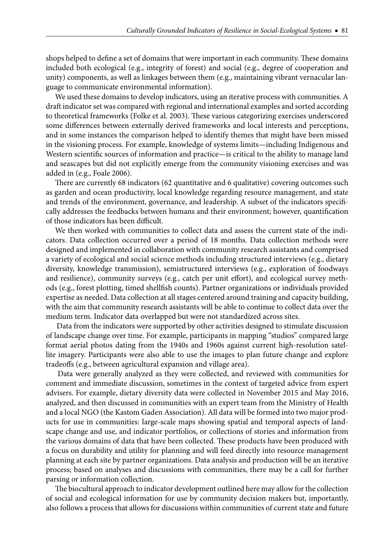shops helped to define a set of domains that were important in each community. These domains included both ecological (e.g., integrity of forest) and social (e.g., degree of cooperation and unity) components, as well as linkages between them (e.g., maintaining vibrant vernacular language to communicate environmental information).

We used these domains to develop indicators, using an iterative process with communities. A draft indicator set was compared with regional and international examples and sorted according to theoretical frameworks (Folke et al. 2003). These various categorizing exercises underscored some diferences between externally derived frameworks and local interests and perceptions, and in some instances the comparison helped to identify themes that might have been missed in the visioning process. For example, knowledge of systems limits—including Indigenous and Western scientifc sources of information and practice—is critical to the ability to manage land and seascapes but did not explicitly emerge from the community visioning exercises and was added in (e.g., Foale 2006).

There are currently  $68$  indicators  $(62$  quantitative and  $6$  qualitative) covering outcomes such as garden and ocean productivity, local knowledge regarding resource management, and state and trends of the environment, governance, and leadership. A subset of the indicators specifcally addresses the feedbacks between humans and their environment; however, quantification of those indicators has been difficult.

We then worked with communities to collect data and assess the current state of the indicators. Data collection occurred over a period of 18 months. Data collection methods were designed and implemented in collaboration with community research assistants and comprised a variety of ecological and social science methods including structured interviews (e.g., dietary diversity, knowledge transmission), semistructured interviews (e.g., exploration of foodways and resilience), community surveys (e.g., catch per unit effort), and ecological survey methods (e.g., forest plotting, timed shellfsh counts). Partner organizations or individuals provided expertise as needed. Data collection at all stages centered around training and capacity building, with the aim that community research assistants will be able to continue to collect data over the medium term. Indicator data overlapped but were not standardized across sites.

 Data from the indicators were supported by other activities designed to stimulate discussion of landscape change over time. For example, participants in mapping "studios" compared large format aerial photos dating from the 1940s and 1960s against current high-resolution satellite imagery. Participants were also able to use the images to plan future change and explore tradeofs (e.g., between agricultural expansion and village area).

 Data were generally analyzed as they were collected, and reviewed with communities for comment and immediate discussion, sometimes in the context of targeted advice from expert advisers. For example, dietary diversity data were collected in November 2015 and May 2016, analyzed, and then discussed in communities with an expert team from the Ministry of Health and a local NGO (the Kastom Gaden Association). All data will be formed into two major products for use in communities: large-scale maps showing spatial and temporal aspects of landscape change and use, and indicator portfolios, or collections of stories and information from the various domains of data that have been collected. These products have been produced with a focus on durability and utility for planning and will feed directly into resource management planning at each site by partner organizations. Data analysis and production will be an iterative process; based on analyses and discussions with communities, there may be a call for further parsing or information collection.

The biocultural approach to indicator development outlined here may allow for the collection of social and ecological information for use by community decision makers but, importantly, also follows a process that allows for discussions within communities of current state and future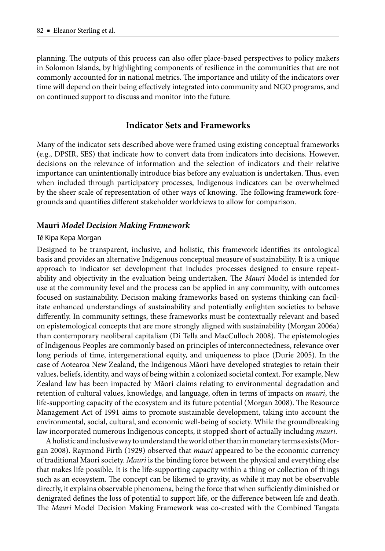planning. The outputs of this process can also offer place-based perspectives to policy makers in Solomon Islands, by highlighting components of resilience in the communities that are not commonly accounted for in national metrics. The importance and utility of the indicators over time will depend on their being efectively integrated into community and NGO programs, and on continued support to discuss and monitor into the future.

### **Indicator Sets and Frameworks**

Many of the indicator sets described above were framed using existing conceptual frameworks (e.g., DPSIR, SES) that indicate how to convert data from indicators into decisions. However, decisions on the relevance of information and the selection of indicators and their relative importance can unintentionally introduce bias before any evaluation is undertaken. Thus, even when included through participatory processes, Indigenous indicators can be overwhelmed by the sheer scale of representation of other ways of knowing. The following framework foregrounds and quantifies different stakeholder worldviews to allow for comparison.

### **Mauri** *Model Decision Making Framework*

### Tē Kipa Kepa Morgan

Designed to be transparent, inclusive, and holistic, this framework identifes its ontological basis and provides an alternative Indigenous conceptual measure of sustainability. It is a unique approach to indicator set development that includes processes designed to ensure repeatability and objectivity in the evaluation being undertaken. The *Mauri* Model is intended for use at the community level and the process can be applied in any community, with outcomes focused on sustainability. Decision making frameworks based on systems thinking can facilitate enhanced understandings of sustainability and potentially enlighten societies to behave differently. In community settings, these frameworks must be contextually relevant and based on epistemological concepts that are more strongly aligned with sustainability (Morgan 2006a) than contemporary neoliberal capitalism (Di Tella and MacCulloch 2008). The epistemologies of Indigenous Peoples are commonly based on principles of interconnectedness, relevance over long periods of time, intergenerational equity, and uniqueness to place (Durie 2005). In the case of Aotearoa New Zealand, the Indigenous Māori have developed strategies to retain their values, beliefs, identity, and ways of being within a colonized societal context. For example, New Zealand law has been impacted by Māori claims relating to environmental degradation and retention of cultural values, knowledge, and language, ofen in terms of impacts on *mauri*, the life-supporting capacity of the ecosystem and its future potential (Morgan 2008). The Resource Management Act of 1991 aims to promote sustainable development, taking into account the environmental, social, cultural, and economic well-being of society. While the groundbreaking law incorporated numerous Indigenous concepts, it stopped short of actually including *mauri*.

A holistic and inclusive way to understand the world other than in monetary terms exists (Morgan 2008). Raymond Firth (1929) observed that *mauri* appeared to be the economic currency of traditional Māori society. *Mauri* is the binding force between the physical and everything else that makes life possible. It is the life-supporting capacity within a thing or collection of things such as an ecosystem. The concept can be likened to gravity, as while it may not be observable directly, it explains observable phenomena, being the force that when sufficiently diminished or denigrated defnes the loss of potential to support life, or the diference between life and death. The *Mauri* Model Decision Making Framework was co-created with the Combined Tangata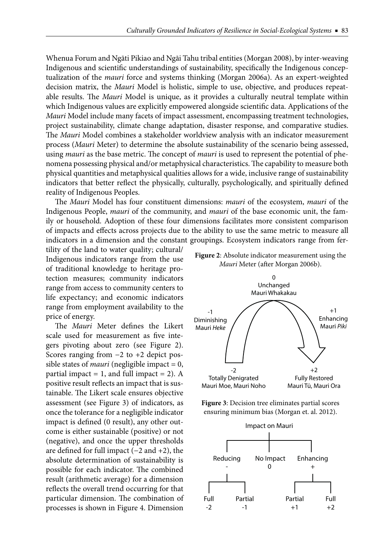Whenua Forum and Ngāti Pikiao and Ngāi Tahu tribal entities (Morgan 2008), by inter-weaving Indigenous and scientific understandings of sustainability, specifically the Indigenous conceptualization of the *mauri* force and systems thinking (Morgan 2006a). As an expert-weighted decision matrix, the *Mauri* Model is holistic, simple to use, objective, and produces repeatable results. The *Mauri* Model is unique, as it provides a culturally neutral template within which Indigenous values are explicitly empowered alongside scientifc data. Applications of the *Mauri* Model include many facets of impact assessment, encompassing treatment technologies, project sustainability, climate change adaptation, disaster response, and comparative studies. The *Mauri* Model combines a stakeholder worldview analysis with an indicator measurement process (*Mauri* Meter) to determine the absolute sustainability of the scenario being assessed, using *mauri* as the base metric. The concept of *mauri* is used to represent the potential of phenomena possessing physical and/or metaphysical characteristics. The capability to measure both physical quantities and metaphysical qualities allows for a wide, inclusive range of sustainability indicators that better reflect the physically, culturally, psychologically, and spiritually defined reality of Indigenous Peoples.

The *Mauri* Model has four constituent dimensions: *mauri* of the ecosystem, *mauri* of the Indigenous People, *mauri* of the community, and *mauri* of the base economic unit, the family or household. Adoption of these four dimensions facilitates more consistent comparison of impacts and efects across projects due to the ability to use the same metric to measure all indicators in a dimension and the constant groupings. Ecosystem indicators range from fer-

tility of the land to water quality; cultural/ Indigenous indicators range from the use of traditional knowledge to heritage protection measures; community indicators range from access to community centers to life expectancy; and economic indicators range from employment availability to the price of energy.

The *Mauri* Meter defines the Likert scale used for measurement as five integers pivoting about zero (see Figure 2). Scores ranging from −2 to +2 depict possible states of *mauri* (negligible impact = 0, partial impact  $= 1$ , and full impact  $= 2$ ). A positive result refects an impact that is sustainable. The Likert scale ensures objective assessment (see Figure 3) of indicators, as once the tolerance for a negligible indicator impact is defined (0 result), any other outcome is either sustainable (positive) or not (negative), and once the upper thresholds are defned for full impact (−2 and +2), the absolute determination of sustainability is possible for each indicator. The combined result (arithmetic average) for a dimension refects the overall trend occurring for that particular dimension. The combination of processes is shown in Figure 4. Dimension





**Figure 3**: Decision tree eliminates partial scores ensuring minimum bias (Morgan et. al. 2012).

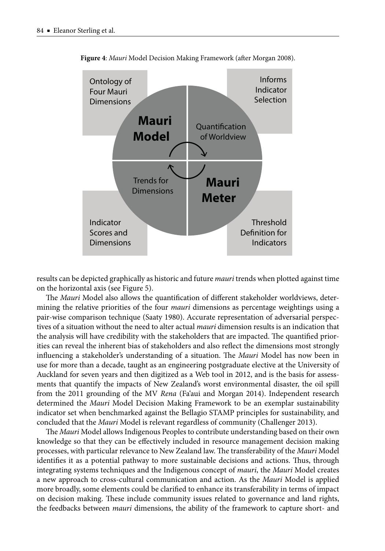

**Figure 4**: *Mauri* Model Decision Making Framework (afer Morgan 2008).

results can be depicted graphically as historic and future *mauri* trends when plotted against time on the horizontal axis (see Figure 5).

The *Mauri* Model also allows the quantification of different stakeholder worldviews, determining the relative priorities of the four *mauri* dimensions as percentage weightings using a pair-wise comparison technique (Saaty 1980). Accurate representation of adversarial perspectives of a situation without the need to alter actual *mauri* dimension results is an indication that the analysis will have credibility with the stakeholders that are impacted. The quantified priorities can reveal the inherent bias of stakeholders and also refect the dimensions most strongly influencing a stakeholder's understanding of a situation. The *Mauri* Model has now been in use for more than a decade, taught as an engineering postgraduate elective at the University of Auckland for seven years and then digitized as a Web tool in 2012, and is the basis for assessments that quantify the impacts of New Zealand's worst environmental disaster, the oil spill from the 2011 grounding of the MV *Rena* (Fa'aui and Morgan 2014). Independent research determined the *Mauri* Model Decision Making Framework to be an exemplar sustainability indicator set when benchmarked against the Bellagio STAMP principles for sustainability, and concluded that the *Mauri* Model is relevant regardless of community (Challenger 2013).

The *Mauri* Model allows Indigenous Peoples to contribute understanding based on their own knowledge so that they can be efectively included in resource management decision making processes, with particular relevance to New Zealand law. Te transferability of the *Mauri* Model identifies it as a potential pathway to more sustainable decisions and actions. Thus, through integrating systems techniques and the Indigenous concept of *mauri*, the *Mauri* Model creates a new approach to cross-cultural communication and action. As the *Mauri* Model is applied more broadly, some elements could be clarifed to enhance its transferability in terms of impact on decision making. These include community issues related to governance and land rights, the feedbacks between *mauri* dimensions, the ability of the framework to capture short- and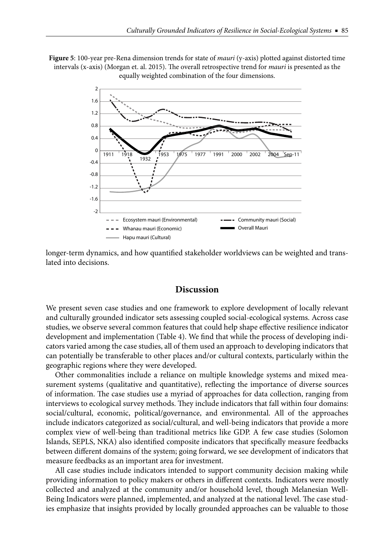



longer-term dynamics, and how quantifed stakeholder worldviews can be weighted and translated into decisions.

### **Discussion**

We present seven case studies and one framework to explore development of locally relevant and culturally grounded indicator sets assessing coupled social-ecological systems. Across case studies, we observe several common features that could help shape efective resilience indicator development and implementation (Table 4). We fnd that while the process of developing indicators varied among the case studies, all of them used an approach to developing indicators that can potentially be transferable to other places and/or cultural contexts, particularly within the geographic regions where they were developed.

Other commonalities include a reliance on multiple knowledge systems and mixed measurement systems (qualitative and quantitative), refecting the importance of diverse sources of information. The case studies use a myriad of approaches for data collection, ranging from interviews to ecological survey methods. They include indicators that fall within four domains: social/cultural, economic, political/governance, and environmental. All of the approaches include indicators categorized as social/cultural, and well-being indicators that provide a more complex view of well-being than traditional metrics like GDP. A few case studies (Solomon Islands, SEPLS, NKA) also identified composite indicators that specifically measure feedbacks between diferent domains of the system; going forward, we see development of indicators that measure feedbacks as an important area for investment.

All case studies include indicators intended to support community decision making while providing information to policy makers or others in diferent contexts. Indicators were mostly collected and analyzed at the community and/or household level, though Melanesian Well-Being Indicators were planned, implemented, and analyzed at the national level. The case studies emphasize that insights provided by locally grounded approaches can be valuable to those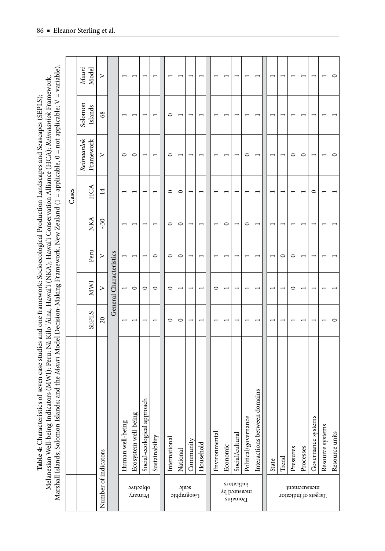|                                          |                              |                          |                         |                  |                          | Cases                    |                         |                          |                  |
|------------------------------------------|------------------------------|--------------------------|-------------------------|------------------|--------------------------|--------------------------|-------------------------|--------------------------|------------------|
|                                          |                              | <b>SEPLS</b>             | <b>NWI</b>              | Peru             | <b>NKA</b>               | HCA                      | Reimaanlok<br>Framework | Solomon<br>Islands       | Mauri<br>Model   |
| Number of indicators                     |                              | $\Omega$                 | $\triangleright$        | $\triangleright$ | ~50                      | $\overline{1}$           | $\triangleright$        | 68                       | $\triangleright$ |
|                                          |                              |                          | General Characteristics |                  |                          |                          |                         |                          |                  |
|                                          | Human well-being             | $\overline{\phantom{0}}$ |                         |                  | $\overline{\phantom{0}}$ | $\overline{\phantom{0}}$ | $\circ$                 | $\overline{\phantom{0}}$ | ۳                |
|                                          | Ecosystem well-being         |                          | $\circ$                 |                  |                          |                          | $\circ$                 | ۳                        |                  |
| opjective<br>Ynamirq                     | Social-ecological approach   | ۳                        | $\circ$                 | τ                | τ                        | ۳                        | τ                       | τ                        | л                |
|                                          | Sustainability               |                          | $\circ$                 | $\circ$          |                          |                          |                         |                          |                  |
|                                          | International                | $\circ$                  | $\circ$                 | $\circ$          | $\circ$                  | $\circ$                  | $\circ$                 | $\circ$                  |                  |
| Geographic                               | National                     | $\circ$                  | π                       | $\circ$          | $\circ$                  | $\circ$                  | π                       |                          |                  |
| scale                                    | Community                    |                          |                         |                  |                          |                          |                         |                          |                  |
|                                          | Household                    | ۳                        | ۳                       | ۳                | ۳                        | ۳                        | ۳                       | ۳                        |                  |
|                                          | Environmental                |                          | $\circ$                 |                  |                          |                          |                         | ٠                        |                  |
|                                          | Economic                     |                          |                         |                  | $\circ$                  |                          |                         |                          |                  |
| indicators<br>Domains                    | Social/cultural              |                          |                         |                  |                          |                          |                         |                          |                  |
| yd byweig                                | Political/governance         |                          |                         |                  | $\circ$                  |                          | $\circ$                 |                          |                  |
|                                          | Interactions between domains |                          |                         |                  | τ                        |                          | п                       |                          |                  |
|                                          | State                        | ۳                        | ۳                       | ۳                | ۳                        | ۳                        | ۳                       | ۳                        | ۳                |
|                                          | Trend                        |                          |                         | 0                |                          |                          |                         |                          |                  |
|                                          | Pressures                    |                          | $\circ$                 | $\circ$          | ۳                        | ۳                        | $\circ$                 | ۳                        | ۳                |
|                                          | Processes                    |                          | ۲                       | ۲                |                          | ۲                        | $\circ$                 |                          |                  |
| $\upmu$ ourement<br>Targets of indicator | Governance systems           |                          | ۲                       | ۲                |                          | $\circ$                  | ۳                       | ۲                        | ۲                |
|                                          | Resource systems             |                          |                         |                  |                          |                          |                         | ۳                        |                  |
|                                          | Resource units               | $\circ$                  |                         |                  |                          |                          | $\circ$                 |                          | $\circ$          |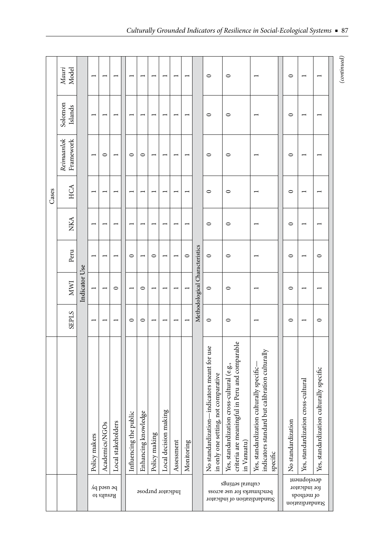|       | Mauri<br>Model          |               |                          | ۳                        |                    |                          | ۳                   | ۳             | ۳                     | $\overline{\phantom{0}}$ | ۳          |                                | $\circ$                                                                             | $\circ$                                                                                                     |                                                                                                         | $\circ$            | $\overline{\phantom{0}}$                                     | Н                                             |
|-------|-------------------------|---------------|--------------------------|--------------------------|--------------------|--------------------------|---------------------|---------------|-----------------------|--------------------------|------------|--------------------------------|-------------------------------------------------------------------------------------|-------------------------------------------------------------------------------------------------------------|---------------------------------------------------------------------------------------------------------|--------------------|--------------------------------------------------------------|-----------------------------------------------|
|       | Solomon<br>Islands      |               | $\overline{\phantom{0}}$ | ۳                        |                    | $\overline{\phantom{0}}$ | ۳                   | ۳             | ۳                     | $\overline{\phantom{0}}$ | Н          |                                | $\circ$                                                                             | $\circ$                                                                                                     |                                                                                                         | $\circ$            |                                                              |                                               |
|       | Reimaanlok<br>Framework |               | τ                        | $\circ$                  |                    | $\circ$                  | 0                   | п             | ۳                     | $\overline{\phantom{0}}$ |            |                                | $\circ$                                                                             | $\circ$                                                                                                     |                                                                                                         | $\circ$            | $\overline{\phantom{0}}$                                     |                                               |
| Cases | HCA                     |               | ۳                        | ۳                        |                    |                          |                     | ۳             | ۳                     | $\overline{\phantom{0}}$ |            |                                | $\circ$                                                                             | $\circ$                                                                                                     |                                                                                                         | $\circ$            | $\overline{\phantom{0}}$                                     |                                               |
|       | <b>NKA</b>              |               | ۳                        | ۳                        |                    |                          |                     | ۳             | ۳                     |                          |            |                                | $\circ$                                                                             | $\circ$                                                                                                     |                                                                                                         | $\circ$            | -                                                            |                                               |
|       | Peru                    |               |                          | ۳                        |                    | $\circ$                  | ۳                   | $\circ$       | ۳                     |                          | $\circ$    |                                | $\circ$                                                                             | $\circ$                                                                                                     |                                                                                                         | $\circ$            | ⊣                                                            | $\circ$                                       |
|       | <b>NWI</b>              | Indicator Use |                          | ۳                        | $\circ$            | $\overline{\phantom{0}}$ | $\circ$             | τ             | ۳                     | $\overline{\phantom{0}}$ |            | Methodological Characteristics | $\circ$                                                                             | $\circ$                                                                                                     |                                                                                                         | $\circ$            | $\overline{\phantom{0}}$                                     |                                               |
|       | <b>SEPLS</b>            |               | ۳                        | ۳                        |                    | $\circ$                  | 0                   | τ             | ۳                     | ۳                        |            |                                | $\circ$                                                                             | $\circ$                                                                                                     |                                                                                                         | $\circ$            | $\overline{\phantom{0}}$                                     | $\circ$                                       |
|       |                         |               | Policy makers            | Academics/NGOs           | Local stakeholders | Influencing the public   | Enhancing knowledge | Policy making | Local decision making | Assessment               | Monitoring |                                | No standardization-indicators meant for use<br>in only one setting, not comparative | criteria are meaningful in Peru and comparable<br>Yes, standardization cross-cultural (e.g.,<br>in Vanuatu) | indicators standard but calibration culturally<br>Yes, standardization culturally specific-<br>specific | No standardization | ural<br>Yes, standardization cross-cult                      | ' specific<br>Yes, standardization culturally |
|       |                         |               |                          | Aq pəsn əq<br>Results to |                    |                          | puqiestor purpose   |               |                       |                          |            |                                |                                                                                     | cultural settings<br>benchmarks for use across<br>totsoibni to noitssibtsbnst8                              |                                                                                                         |                    | development<br>for indicator<br>spoqiam jo<br>fandardization |                                               |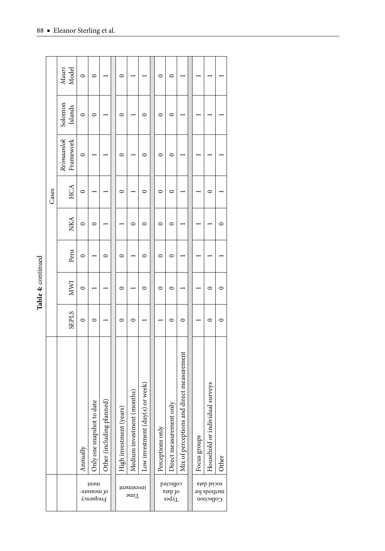|                                          |                                              |              |            |      |            | Cases |                         |                    |                |
|------------------------------------------|----------------------------------------------|--------------|------------|------|------------|-------|-------------------------|--------------------|----------------|
|                                          |                                              | <b>SEPLS</b> | <b>NWI</b> | Peru | <b>NKA</b> | HCA   | Reimaanlok<br>Framework | Solomon<br>Islands | Mauri<br>Model |
|                                          | Annually                                     | $\circ$      | 0          | 0    | 0          | 0     | $\circ$                 | $\circ$            | $\circ$        |
| nent<br>of measure-<br>Frequency         | Only one snapshot to date                    | 0            |            |      | 0          |       |                         | 0                  | 0              |
|                                          | Other (including planned)                    |              |            | 0    |            |       |                         |                    |                |
|                                          |                                              |              |            |      |            |       |                         |                    |                |
|                                          | High investment (years)                      | 0            | 0          | 0    |            | 0     | 0                       | 0                  | 0              |
| investment<br>$\frac{1}{2}$              | Medium investment (months)                   | 0            |            |      | 0          |       |                         |                    |                |
|                                          | 곰<br>Low investment (day(s) or wee           |              | ○          | c    | 0          | c     | ⊂                       | ⊂                  |                |
|                                          |                                              |              |            |      |            |       |                         |                    |                |
|                                          | Perceptions only                             |              | 0          | 0    | 0          | 0     | 0                       | 0                  | ⊂              |
| collected<br>of data<br>sədÁL            | Direct measurement only                      | 0            | 0          | 0    | 0          | 0     | 0                       | 0                  | ⊂              |
|                                          | measurement<br>Mix of perceptions and direct | 0            |            |      |            |       |                         |                    |                |
|                                          |                                              |              |            |      |            |       |                         |                    |                |
|                                          | Focus groups                                 |              |            |      |            |       |                         |                    |                |
| social data<br>101 sbodtom<br>Collection | Household or individual surveys              | 0            | 0          |      |            | 0     |                         |                    |                |
|                                          | Other                                        | ∊            | ∊          |      | ∊          |       |                         |                    |                |

| ٦ |  |
|---|--|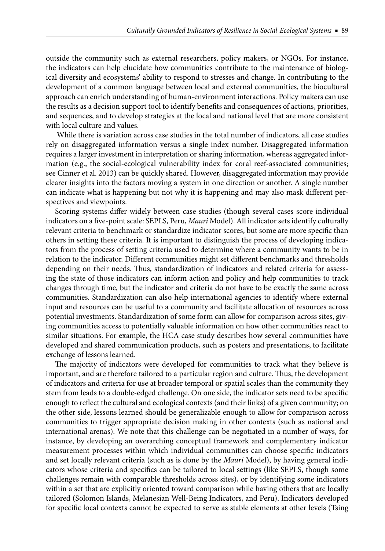outside the community such as external researchers, policy makers, or NGOs. For instance, the indicators can help elucidate how communities contribute to the maintenance of biological diversity and ecosystems' ability to respond to stresses and change. In contributing to the development of a common language between local and external communities, the biocultural approach can enrich understanding of human-environment interactions. Policy makers can use the results as a decision support tool to identify benefts and consequences of actions, priorities, and sequences, and to develop strategies at the local and national level that are more consistent with local culture and values.

 While there is variation across case studies in the total number of indicators, all case studies rely on disaggregated information versus a single index number. Disaggregated information requires a larger investment in interpretation or sharing information, whereas aggregated information (e.g., the social-ecological vulnerability index for coral reef-associated communities; see Cinner et al. 2013) can be quickly shared. However, disaggregated information may provide clearer insights into the factors moving a system in one direction or another. A single number can indicate what is happening but not why it is happening and may also mask different perspectives and viewpoints.

Scoring systems difer widely between case studies (though several cases score individual indicators on a fve-point scale: SEPLS, Peru, *Mauri* Model). All indicator sets identify culturally relevant criteria to benchmark or standardize indicator scores, but some are more specific than others in setting these criteria. It is important to distinguish the process of developing indicators from the process of setting criteria used to determine where a community wants to be in relation to the indicator. Diferent communities might set diferent benchmarks and thresholds depending on their needs. Thus, standardization of indicators and related criteria for assessing the state of those indicators can inform action and policy and help communities to track changes through time, but the indicator and criteria do not have to be exactly the same across communities. Standardization can also help international agencies to identify where external input and resources can be useful to a community and facilitate allocation of resources across potential investments. Standardization of some form can allow for comparison across sites, giving communities access to potentially valuable information on how other communities react to similar situations. For example, the HCA case study describes how several communities have developed and shared communication products, such as posters and presentations, to facilitate exchange of lessons learned.

The majority of indicators were developed for communities to track what they believe is important, and are therefore tailored to a particular region and culture. Thus, the development of indicators and criteria for use at broader temporal or spatial scales than the community they stem from leads to a double-edged challenge. On one side, the indicator sets need to be specific enough to refect the cultural and ecological contexts (and their links) of a given community; on the other side, lessons learned should be generalizable enough to allow for comparison across communities to trigger appropriate decision making in other contexts (such as national and international arenas). We note that this challenge can be negotiated in a number of ways, for instance, by developing an overarching conceptual framework and complementary indicator measurement processes within which individual communities can choose specific indicators and set locally relevant criteria (such as is done by the *Mauri* Model), by having general indicators whose criteria and specifcs can be tailored to local settings (like SEPLS, though some challenges remain with comparable thresholds across sites), or by identifying some indicators within a set that are explicitly oriented toward comparison while having others that are locally tailored (Solomon Islands, Melanesian Well-Being Indicators, and Peru). Indicators developed for specifc local contexts cannot be expected to serve as stable elements at other levels (Tsing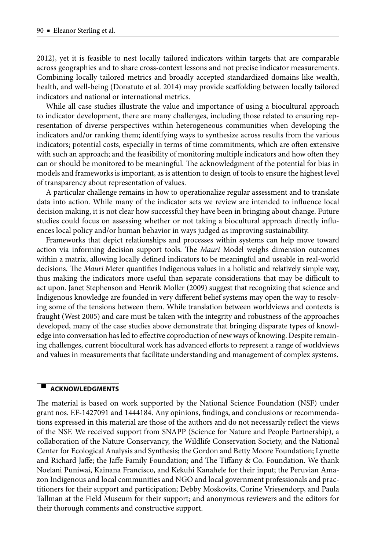2012), yet it is feasible to nest locally tailored indicators within targets that are comparable across geographies and to share cross-context lessons and not precise indicator measurements. Combining locally tailored metrics and broadly accepted standardized domains like wealth, health, and well-being (Donatuto et al. 2014) may provide scafolding between locally tailored indicators and national or international metrics.

While all case studies illustrate the value and importance of using a biocultural approach to indicator development, there are many challenges, including those related to ensuring representation of diverse perspectives within heterogeneous communities when developing the indicators and/or ranking them; identifying ways to synthesize across results from the various indicators; potential costs, especially in terms of time commitments, which are often extensive with such an approach; and the feasibility of monitoring multiple indicators and how often they can or should be monitored to be meaningful. The acknowledgment of the potential for bias in models and frameworks is important, as is attention to design of tools to ensure the highest level of transparency about representation of values.

A particular challenge remains in how to operationalize regular assessment and to translate data into action. While many of the indicator sets we review are intended to influence local decision making, it is not clear how successful they have been in bringing about change. Future studies could focus on assessing whether or not taking a biocultural approach directly influences local policy and/or human behavior in ways judged as improving sustainability.

thus making the indicators more useful than separate considerations that may be difficult to Frameworks that depict relationships and processes within systems can help move toward action via informing decision support tools. The *Mauri* Model weighs dimension outcomes within a matrix, allowing locally defined indicators to be meaningful and useable in real-world decisions. The *Mauri* Meter quantifies Indigenous values in a holistic and relatively simple way, act upon. Janet Stephenson and Henrik Moller (2009) suggest that recognizing that science and Indigenous knowledge are founded in very diferent belief systems may open the way to resolving some of the tensions between them. While translation between worldviews and contexts is fraught (West 2005) and care must be taken with the integrity and robustness of the approaches developed, many of the case studies above demonstrate that bringing disparate types of knowledge into conversation has led to efective coproduction of new ways of knowing. Despite remaining challenges, current biocultural work has advanced efforts to represent a range of worldviews and values in measurements that facilitate understanding and management of complex systems.

#### - **ACKNOWLEDGMENTS**

The material is based on work supported by the National Science Foundation (NSF) under grant nos. EF-1427091 and 1444184. Any opinions, fndings, and conclusions or recommendations expressed in this material are those of the authors and do not necessarily refect the views of the NSF. We received support from SNAPP (Science for Nature and People Partnership), a collaboration of the Nature Conservancy, the Wildlife Conservation Society, and the National Center for Ecological Analysis and Synthesis; the Gordon and Betty Moore Foundation; Lynette and Richard Jaffe; the Jaffe Family Foundation; and The Tiffany & Co. Foundation. We thank Noelani Puniwai, Kainana Francisco, and Kekuhi Kanahele for their input; the Peruvian Amazon Indigenous and local communities and NGO and local government professionals and practitioners for their support and participation; Debby Moskovits, Corine Vriesendorp, and Paula Tallman at the Field Museum for their support; and anonymous reviewers and the editors for their thorough comments and constructive support.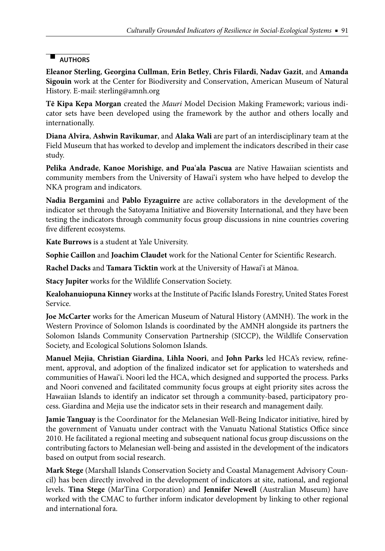# **AUTHORS**

**Eleanor Sterling**, **Georgina Cullman**, **Erin Betley**, **Chris Filardi**, **Nadav Gazit**, and **Amanda Sigouin** work at the Center for Biodiversity and Conservation, American Museum of Natural History. E-mail: sterling@amnh.org

**Tē Kipa Kepa Morgan** created the *Mauri* Model Decision Making Framework; various indicator sets have been developed using the framework by the author and others locally and internationally.

**Diana Alvira**, **Ashwin Ravikumar**, and **Alaka Wali** are part of an interdisciplinary team at the Field Museum that has worked to develop and implement the indicators described in their case study.

**Pelika Andrade**, **Kanoe Morishige**, **and Pua**'**ala Pascua** are Native Hawaiian scientists and community members from the University of Hawai'i system who have helped to develop the NKA program and indicators.

**Nadia Bergamini** and **Pablo Eyzaguirre** are active collaborators in the development of the indicator set through the Satoyama Initiative and Bioversity International, and they have been testing the indicators through community focus group discussions in nine countries covering five different ecosystems.

**Kate Burrows** is a student at Yale University.

Sophie Caillon and Joachim Claudet work for the National Center for Scientific Research.

**Rachel Dacks** and **Tamara Ticktin** work at the University of Hawai'i at Mānoa.

**Stacy Jupiter** works for the Wildlife Conservation Society.

**Kealohanuiopuna Kinney** works at the Institute of Pacifc Islands Forestry, United States Forest Service.

**Joe McCarter** works for the American Museum of Natural History (AMNH). The work in the Western Province of Solomon Islands is coordinated by the AMNH alongside its partners the Solomon Islands Community Conservation Partnership (SICCP), the Wildlife Conservation Society, and Ecological Solutions Solomon Islands.

**Manuel Mejia, Christian Giardina, Lihla Noori, and John Parks led HCA's review, refine**ment, approval, and adoption of the fnalized indicator set for application to watersheds and communities of Hawai'i. Noori led the HCA, which designed and supported the process. Parks and Noori convened and facilitated community focus groups at eight priority sites across the Hawaiian Islands to identify an indicator set through a community-based, participatory process. Giardina and Mejia use the indicator sets in their research and management daily.

the government of Vanuatu under contract with the Vanuatu National Statistics Office since **Jamie Tanguay** is the Coordinator for the Melanesian Well-Being Indicator initiative, hired by 2010. He facilitated a regional meeting and subsequent national focus group discussions on the contributing factors to Melanesian well-being and assisted in the development of the indicators based on output from social research.

**Mark Stege** (Marshall Islands Conservation Society and Coastal Management Advisory Council) has been directly involved in the development of indicators at site, national, and regional levels. **Tina Stege** (MarTina Corporation) and **Jennifer Newell** (Australian Museum) have worked with the CMAC to further inform indicator development by linking to other regional and international fora.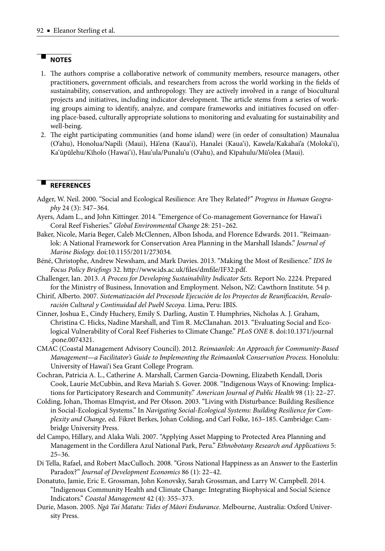## **E** NOTES

- practitioners, government officials, and researchers from across the world working in the fields of 1. The authors comprise a collaborative network of community members, resource managers, other sustainability, conservation, and anthropology. They are actively involved in a range of biocultural projects and initiatives, including indicator development. The article stems from a series of working groups aiming to identify, analyze, and compare frameworks and initiatives focused on offering place-based, culturally appropriate solutions to monitoring and evaluating for sustainability and well-being.
- 2. The eight participating communities (and home island) were (in order of consultation) Maunalua (O'ahu), Honolua/Napili (Maui), Hā'ena (Kaua'i), Hanalei (Kaua'i), Kawela/Kakahai'a (Moloka'i), Ka'ūpūlehu/Kīholo (Hawai'i), Hau'ula/Punalu'u (O'ahu), and Kīpahulu/Mū'olea (Maui).

#### - **REFERENCES**

- Adger, W. Neil. 2000. "Social and Ecological Resilience: Are They Related?" Progress in Human Geogra*phy* 24 (3): 347–364.
- Ayers, Adam L., and John Kittinger. 2014. "Emergence of Co-management Governance for Hawai'i Coral Reef Fisheries." *Global Environmental Change* 28: 251–262.
- Baker, Nicole, Maria Beger, Caleb McClennen, Albon Ishoda, and Florence Edwards. 2011. "Reimaanlok: A National Framework for Conservation Area Planning in the Marshall Islands." *Journal of Marine Biology.* doi:10.1155/2011/273034.
- Béné, Christophe, Andrew Newsham, and Mark Davies. 2013. "Making the Most of Resilience." *IDS In*  Focus Policy Briefings 32. http://www.ids.ac.uk/files/dmfile/IF32.pdf.
- Challenger, Ian. 2013. *A Process for Developing Sustainability Indicator Sets.* Report No. 2224. Prepared for the Ministry of Business, Innovation and Employment. Nelson, NZ: Cawthorn Institute. 54 p.
- Chirif, Alberto. 2007. Sistematización del Procesode Ejecución de los Proyectos de Reunificación, Revalo*ración Cultural y Continuidad del Puebl Secoya.* Lima, Peru: IBIS.
- Cinner, Joshua E., Cindy Huchery, Emily S. Darling, Austin T. Humphries, Nicholas A. J. Graham, Christina C. Hicks, Nadine Marshall, and Tim R. McClanahan. 2013. "Evaluating Social and Ecological Vulnerability of Coral Reef Fisheries to Climate Change." *PLoS ONE* 8. doi:10.1371/journal .pone.0074321.
- CMAC (Coastal Management Advisory Council). 2012. *Reimaanlok: An Approach for Community-Based Management—a Facilitator's Guide to Implementing the Reimaanlok Conservation Process.* Honolulu: University of Hawai'i Sea Grant College Program.
- Cochran, Patricia A. L., Catherine A. Marshall, Carmen Garcia-Downing, Elizabeth Kendall, Doris Cook, Laurie McCubbin, and Reva Mariah S. Gover. 2008. "Indigenous Ways of Knowing: Implications for Participatory Research and Community." *American Journal of Public Health* 98 (1): 22–27.
- Colding, Johan, Tomas Elmqvist, and Per Olsson. 2003. "Living with Disturbance: Building Resilience in Social-Ecological Systems." In *Navigating Social-Ecological Systems: Building Resilience for Complexity and Change,* ed. Fikret Berkes, Johan Colding, and Carl Folke, 163–185. Cambridge: Cambridge University Press.
- del Campo, Hillary, and Alaka Wali. 2007. "Applying Asset Mapping to Protected Area Planning and Management in the Cordillera Azul National Park, Peru." *Ethnobotany Research and Applications* 5: 25–36.
- Di Tella, Rafael, and Robert MacCulloch. 2008. "Gross National Happiness as an Answer to the Easterlin Paradox?" *Journal of Development Economics* 86 (1): 22–42.
- Donatuto, Jamie, Eric E. Grossman, John Konovsky, Sarah Grossman, and Larry W. Campbell. 2014. "Indigenous Community Health and Climate Change: Integrating Biophysical and Social Science Indicators." *Coastal Management* 42 (4): 355–373.
- Durie, Mason. 2005. *Ngā Tai Matatu: Tides of Māori Endurance.* Melbourne, Australia: Oxford University Press.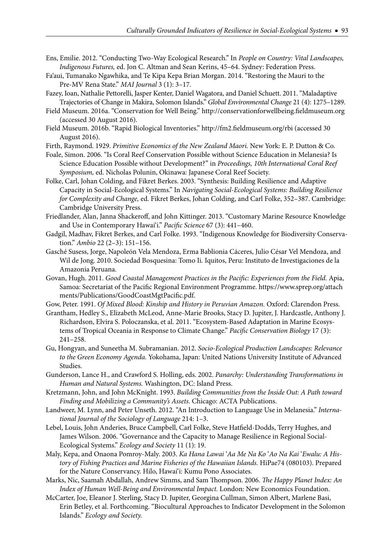- Ens, Emilie. 2012. "Conducting Two-Way Ecological Research." In *People on Country: Vital Landscapes, Indigenous Futures,* ed. Jon C. Altman and Sean Kerins, 45–64. Sydney: Federation Press.
- Fa'aui, Tumanako Ngawhika, and Te Kipa Kepa Brian Morgan. 2014. "Restoring the Mauri to the Pre-MV Rena State." *MAI Journal* 3 (1): 3–17.
- Fazey, Ioan, Nathalie Pettorelli, Jasper Kenter, Daniel Wagatora, and Daniel Schuett. 2011. "Maladaptive Trajectories of Change in Makira, Solomon Islands." *Global Environmental Change* 21 (4): 1275–1289.
- Field Museum. 2016a. "Conservation for Well Being." http://conservationforwellbeing.f eldmuseum.org (accessed 30 August 2016).
- Field Museum. 2016b. "Rapid Biological Inventories." http://fm2.feldmuseum.org/rbi (accessed 30 August 2016).
- Firth, Raymond. 1929. *Primitive Economics of the New Zealand Maori.* New York: E. P. Dutton & Co.
- Foale, Simon. 2006. "Is Coral Reef Conservation Possible without Science Education in Melanesia? Is Science Education Possible without Development?" in *Proceedings, 10th International Coral Reef Symposium,* ed. Nicholas Polunin, Okinawa: Japanese Coral Reef Society.
- Folke, Carl, Johan Colding, and Fikret Berkes. 2003. "Synthesis: Building Resilience and Adaptive Capacity in Social-Ecological Systems." In *Navigating Social-Ecological Systems: Building Resilience for Complexity and Change,* ed. Fikret Berkes, Johan Colding, and Carl Folke, 352–387. Cambridge: Cambridge University Press.
- Friedlander, Alan, Janna Shackerof, and John Kittinger. 2013. "Customary Marine Resource Knowledge and Use in Contemporary Hawai'i." *Pacific Science* 67 (3): 441-460.
- Gadgil, Madhav, Fikret Berkes, and Carl Folke. 1993. "Indigenous Knowledge for Biodiversity Conservation." *Ambio* 22 (2–3): 151–156.
- Gasché Susess, Jorge, Napoleón Vela Mendoza, Erma Bablionia Cáceres, Julio César Vel Mendoza, and Wil de Jong. 2010. Sociedad Bosquesina: Tomo Ii*.* Iquitos, Peru: Instituto de Investigaciones de la Amazonia Peruana.
- Govan, Hugh. 2011. *Good Coastal Management Practices in the Pacifc: Experiences from the Field.* Apia, Samoa: Secretariat of the Pacifc Regional Environment Programme. https://www.sprep.org/attach ments/Publications/GoodCoastMgtPacific.pdf.
- Gow, Peter. 1991. *Of Mixed Blood: Kinship and History in Peruvian Amazon.* Oxford: Clarendon Press.
- Grantham, Hedley S., Elizabeth McLeod, Anne-Marie Brooks, Stacy D. Jupiter, J. Hardcastle, Anthony J. Richardson, Elvira S. Poloczanska, et al. 2011. "Ecosystem-Based Adaptation in Marine Ecosystems of Tropical Oceania in Response to Climate Change." *Pacifc Conservation Biology* 17 (3): 241–258.
- Gu, Hongyan, and Suneetha M. Subramanian. 2012. *Socio-Ecological Production Landscapes: Relevance to the Green Economy Agenda.* Yokohama, Japan: United Nations University Institute of Advanced Studies.
- Gunderson, Lance H., and Crawford S. Holling, eds. 2002. *Panarchy: Understanding Transformations in Human and Natural Systems.* Washington, DC: Island Press.
- Kretzmann, John, and John McKnight. 1993. *Building Communities from the Inside Out: A Path toward Finding and Mobilizing a Community's Assets.* Chicago: ACTA Publications.
- Landweer, M. Lynn, and Peter Unseth. 2012. "An Introduction to Language Use in Melanesia." *International Journal of the Sociology of Language* 214: 1–3.
- Lebel, Louis, John Anderies, Bruce Campbell, Carl Folke, Steve Hatfeld-Dodds, Terry Hughes, and James Wilson. 2006. "Governance and the Capacity to Manage Resilience in Regional Social-Ecological Systems." *Ecology and Society* 11 (1): 19.
- Maly, Kepa, and Onaona Pomroy-Maly. 2003. *Ka Hana Lawai* '*Aa Me Na Ko* '*Ao Na Kai* '*Ewalu: A History of Fishing Practices and Marine Fisheries of the Hawaiian Islands.* HiPae74 (080103). Prepared for the Nature Conservancy. Hilo, Hawai'i: Kumu Pono Associates.
- Marks, Nic, Saamah Abdallah, Andrew Simms, and Sam Thompson. 2006. *The Happy Planet Index: An Index of Human Well-Being and Environmental Impact.* London: New Economics Foundation.
- McCarter, Joe, Eleanor J. Sterling, Stacy D. Jupiter, Georgina Cullman, Simon Albert, Marlene Basi, Erin Betley, et al. Forthcoming. "Biocultural Approaches to Indicator Development in the Solomon Islands." *Ecology and Society.*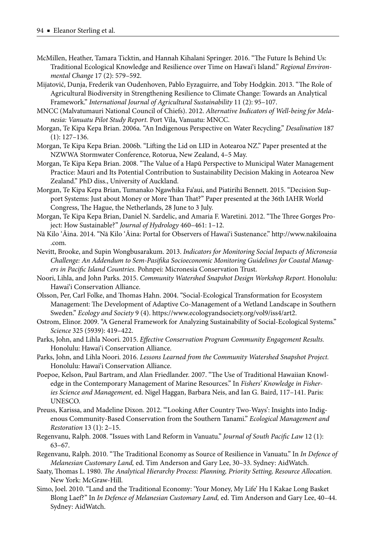- McMillen, Heather, Tamara Ticktin, and Hannah Kihalani Springer. 2016. "The Future Is Behind Us: Traditional Ecological Knowledge and Resilience over Time on Hawai'i Island." *Regional Environmental Change* 17 (2): 579–592.
- Mijatović, Dunja, Frederik van Oudenhoven, Pablo Eyzaguirre, and Toby Hodgkin. 2013. "The Role of Agricultural Biodiversity in Strengthening Resilience to Climate Change: Towards an Analytical Framework." *International Journal of Agricultural Sustainability* 11 (2): 95–107.
- MNCC (Malvatumauri National Council of Chiefs). 2012. *Alternative Indicators of Well-being for Melanesia: Vanuatu Pilot Study Report.* Port Vila, Vanuatu: MNCC.
- Morgan, Te Kipa Kepa Brian. 2006a. "An Indigenous Perspective on Water Recycling." *Desalination* 187 (1): 127–136.
- Morgan, Te Kipa Kepa Brian. 2006b. "Lifing the Lid on LID in Aotearoa NZ." Paper presented at the NZWWA Stormwater Conference, Rotorua, New Zealand, 4–5 May.
- Morgan, Te Kipa Kepa Brian. 2008. "Te Value of a Hapū Perspective to Municipal Water Management Practice: Mauri and Its Potential Contribution to Sustainability Decision Making in Aotearoa New Zealand." PhD diss., University of Auckland.
- Morgan, Te Kipa Kepa Brian, Tumanako Ngawhika Fa'aui, and Piatirihi Bennett. 2015. "Decision Support Systems: Just about Money or More Than That?" Paper presented at the 36th IAHR World Congress, The Hague, the Netherlands, 28 June to 3 July.
- Morgan, Te Kipa Kepa Brian, Daniel N. Sardelic, and Amaria F. Waretini. 2012. "The Three Gorges Project: How Sustainable?" *Journal of Hydrology* 460–461: 1–12.
- Nā Kilo 'Āina. 2014. "Nā Kilo 'Āina: Portal for Observers of Hawai'i Sustenance." http://www.nakiloaina .com.
- Nevitt, Brooke, and Supin Wongbusarakum. 2013. *Indicators for Monitoring Social Impacts of Micronesia Challenge: An Addendum to Sem-Pasifka Socioeconomic Monitoring Guidelines for Coastal Managers in Pacifc Island Countries.* Pohnpei: Micronesia Conservation Trust.
- Noori, Lihla, and John Parks. 2015. *Community Watershed Snapshot Design Workshop Report.* Honolulu: Hawai'i Conservation Alliance.
- Olsson, Per, Carl Folke, and Thomas Hahn. 2004. "Social-Ecological Transformation for Ecosystem Management: The Development of Adaptive Co-Management of a Wetland Landscape in Southern Sweden." *Ecology and Society* 9 (4). https://www.ecologyandsociety.org/vol9/iss4/art2.
- Ostrom, Elinor. 2009. "A General Framework for Analyzing Sustainability of Social-Ecological Systems." *Science* 325 (5939): 419–422.
- Parks, John, and Lihla Noori. 2015. *Effective Conservation Program Community Engagement Results.* Honolulu: Hawai'i Conservation Alliance.
- Parks, John, and Lihla Noori. 2016. *Lessons Learned from the Community Watershed Snapshot Project.*  Honolulu: Hawai'i Conservation Alliance.
- Poepoe, Kelson, Paul Bartram, and Alan Friedlander. 2007. "The Use of Traditional Hawaiian Knowledge in the Contemporary Management of Marine Resources." In *Fishers' Knowledge in Fisheries Science and Management,* ed. Nigel Haggan, Barbara Neis, and Ian G. Baird, 117–141. Paris: UNESCO.
- Preuss, Karissa, and Madeline Dixon. 2012. "'Looking Afer Country Two-Ways': Insights into Indigenous Community-Based Conservation from the Southern Tanami." *Ecological Management and Restoration* 13 (1): 2–15.
- Regenvanu, Ralph. 2008. "Issues with Land Reform in Vanuatu." *Journal of South Pacific Law* 12 (1): 63–67.
- Regenvanu, Ralph. 2010. "The Traditional Economy as Source of Resilience in Vanuatu." In *In Defence of Melanesian Customary Land,* ed. Tim Anderson and Gary Lee, 30–33. Sydney: AidWatch.
- Saaty, Thomas L. 1980. *The Analytical Hierarchy Process: Planning, Priority Setting, Resource Allocation.* New York: McGraw-Hill.
- Simo, Joel. 2010. "Land and the Traditional Economy: 'Your Money, My Life' Hu I Kakae Long Basket Blong Laef?" In *In Defence of Melanesian Customary Land,* ed. Tim Anderson and Gary Lee, 40–44. Sydney: AidWatch.